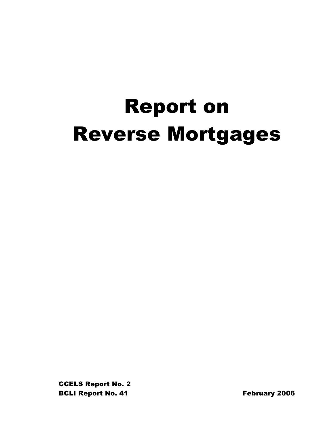# Report on Reverse Mortgages

CCELS Report No. 2 BCLI Report No. 41 February 2006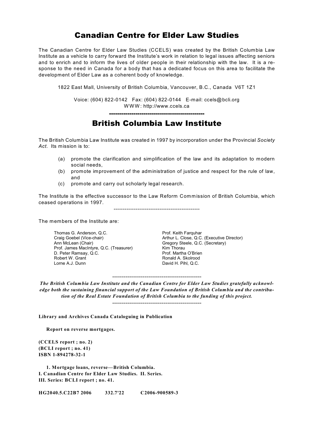# Canadian Centre for Elder Law Studies

The Canadian Centre for Elder Law Studies (CCELS) was created by the British Columbia Law Institute as a vehicle to carry forward the Institute's work in relation to legal issues affecting seniors and to enrich and to inform the lives of older people in their relationship with the law. It is a response to the need in Canada for a body that has a dedicated focus on this area to facilitate the development of Elder Law as a coherent body of knowledge.

1822 East Mall, University of British Columbia, Vancouver, B.C., Canada V6T 1Z1

Voice: (604) 822-0142 Fax: (604) 822-0144 E-mail: ccels@bcli.org W W W : http://www.ccels.ca

-----------------------------------------------

British Columbia Law Institute

The British Columbia Law Institute was created in 1997 by incorporation under the Provincial *Society Act*. Its mission is to:

- (a) promote the clarification and simplification of the law and its adaptation to modern social needs,
- (b) promote improvement of the administration of justice and respect for the rule of law, and
- (c) promote and carry out scholarly legal research.

The Institute is the effective successor to the Law Reform Commission of British Columbia, which ceased operations in 1997.

-----------------------------------------------

The members of the Institute are:

Thomas G. Anderson, Q.C. Prof. Keith Farquhar<br>
Craig Goebel (Vice-chair) Craig Goebel (Vice-chair) Prof. James MacIntyre, Q.C. (Treasurer) Kim Thorau<br>
D. Peter Ramsav. Q.C. (Treasurer) Prof. Martha O'Brien D. Peter Ramsay, Q.C.<br>Robert W. Grant Robert W. Grant **Robert W. Grant Communist Communist Communist Communist Communist Communist Communist Communist Communist Communist Communist Communist Communist Communist Communist Communist Communist Communist Communist** 

Craig Goebel (Vice-chair) **Arthur L. Close, Q.C. (Executive Director)** Ann McLean (Chair) **Ann McLean** (Chair) Gregory Steele, Q.C. (Secretary) David H. Pihl, Q.C.

*The British Columbia Law Institute and the Canadian Centre for Elder Law Studies gratefully acknowledge both the sustaining financial support of the Law Foundation of British Columbia and the contribution of the Real Estate Foundation of British Columbia to the funding of this project.*

-----------------------------------------------

-----------------------------------------------

**Library and Archives Canada Cataloguing in Publication**

**Report on reverse mortgages.**

**(CCELS report ; no. 2) (BCLI report ; no. 41) ISBN 1-894278-32-1**

**1. Mortgage loans, reverse—British Columbia. I. Canadian Centre for Elder Law Studies. II. Series. III. Series: BCLI report ; no. 41.**

**HG2040.5.C22B7 2006 332.7'22 C2006-900589-3**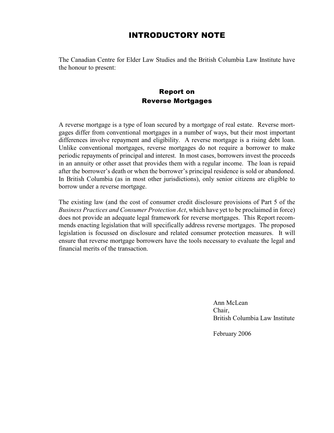# INTRODUCTORY NOTE

The Canadian Centre for Elder Law Studies and the British Columbia Law Institute have the honour to present:

# Report on Reverse Mortgages

A reverse mortgage is a type of loan secured by a mortgage of real estate. Reverse mortgages differ from conventional mortgages in a number of ways, but their most important differences involve repayment and eligibility. A reverse mortgage is a rising debt loan. Unlike conventional mortgages, reverse mortgages do not require a borrower to make periodic repayments of principal and interest. In most cases, borrowers invest the proceeds in an annuity or other asset that provides them with a regular income. The loan is repaid after the borrower's death or when the borrower's principal residence is sold or abandoned. In British Columbia (as in most other jurisdictions), only senior citizens are eligible to borrow under a reverse mortgage.

The existing law (and the cost of consumer credit disclosure provisions of Part 5 of the *Business Practices and Consumer Protection Act*, which have yet to be proclaimed in force) does not provide an adequate legal framework for reverse mortgages. This Report recommends enacting legislation that will specifically address reverse mortgages. The proposed legislation is focussed on disclosure and related consumer protection measures. It will ensure that reverse mortgage borrowers have the tools necessary to evaluate the legal and financial merits of the transaction.

> Ann McLean Chair, British Columbia Law Institute

February 2006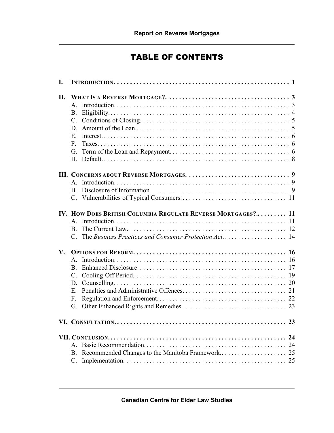# TABLE OF CONTENTS

| I.            |                                                          |                                                              |  |
|---------------|----------------------------------------------------------|--------------------------------------------------------------|--|
| II.           | $A_{-}$<br>B.<br>D.<br>$E_{\perp}$<br>$F_{\rm{L}}$<br>G. |                                                              |  |
|               |                                                          |                                                              |  |
|               | $A_{-}$                                                  |                                                              |  |
|               |                                                          | IV. HOW DOES BRITISH COLUMBIA REGULATE REVERSE MORTGAGES? 11 |  |
|               | $\mathbf{A}$                                             |                                                              |  |
|               | <b>B.</b>                                                |                                                              |  |
|               |                                                          |                                                              |  |
| $V_{\bullet}$ |                                                          |                                                              |  |
|               | $\mathsf{A}$                                             |                                                              |  |
|               | <b>B.</b>                                                |                                                              |  |
|               | $C_{\cdot}$                                              |                                                              |  |
|               | D.                                                       |                                                              |  |
|               | $E_{\cdot}$                                              |                                                              |  |
|               | F.                                                       |                                                              |  |
|               | G.                                                       |                                                              |  |
|               |                                                          |                                                              |  |
|               |                                                          | 24                                                           |  |
|               | $A_{-}$                                                  | 24                                                           |  |
|               | B.                                                       | Recommended Changes to the Manitoba Framework<br>25          |  |
|               | C.                                                       |                                                              |  |
|               |                                                          |                                                              |  |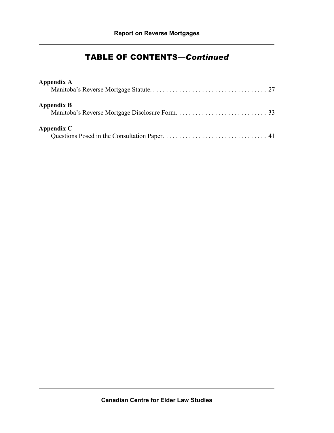# TABLE OF CONTENTS—*Continued*

| Appendix A        |  |
|-------------------|--|
| <b>Appendix B</b> |  |
| Appendix C        |  |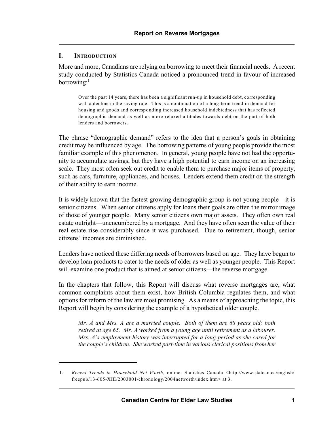## **I. INTRODUCTION**

More and more, Canadians are relying on borrowing to meet their financial needs. A recent study conducted by Statistics Canada noticed a pronounced trend in favour of increased borrowing: $<sup>1</sup>$ </sup>

Over the past 14 years, there has been a significant run-up in household debt, corresponding with a decline in the saving rate. This is a continuation of a long-term trend in demand for housing and goods and corresponding increased household indebtedness that has reflected demographic demand as well as more relaxed altitudes towards debt on the part of both lenders and borrowers.

The phrase "demographic demand" refers to the idea that a person's goals in obtaining credit may be influenced by age. The borrowing patterns of young people provide the most familiar example of this phenomenon. In general, young people have not had the opportunity to accumulate savings, but they have a high potential to earn income on an increasing scale. They most often seek out credit to enable them to purchase major items of property, such as cars, furniture, appliances, and houses. Lenders extend them credit on the strength of their ability to earn income.

It is widely known that the fastest growing demographic group is not young people—it is senior citizens. When senior citizens apply for loans their goals are often the mirror image of those of younger people. Many senior citizens own major assets. They often own real estate outright—unencumbered by a mortgage. And they have often seen the value of their real estate rise considerably since it was purchased. Due to retirement, though, senior citizens' incomes are diminished.

Lenders have noticed these differing needs of borrowers based on age. They have begun to develop loan products to cater to the needs of older as well as younger people. This Report will examine one product that is aimed at senior citizens—the reverse mortgage.

In the chapters that follow, this Report will discuss what reverse mortgages are, what common complaints about them exist, how British Columbia regulates them, and what options for reform of the law are most promising. As a means of approaching the topic, this Report will begin by considering the example of a hypothetical older couple.

*Mr. A and Mrs. A are a married couple. Both of them are 68 years old; both retired at age 65. Mr. A worked from a young age until retirement as a labourer. Mrs. A's employment history was interrupted for a long period as she cared for the couple's children. She worked part-time in various clerical positions from her*

<sup>1.</sup> *Recent Trends in Household Net Worth*, online: Statistics Canada <http://www.statcan.ca/english/ freepub/13-605-XIE/2003001/chronology/2004networth/index.htm> at 3.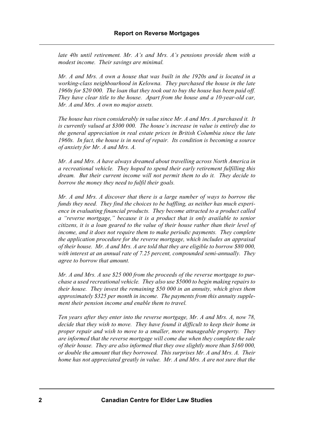*late 40s until retirement. Mr. A's and Mrs. A's pensions provide them with a modest income. Their savings are minimal.*

*Mr. A and Mrs. A own a house that was built in the 1920s and is located in a working-class neighbourhood in Kelowna. They purchased the house in the late 1960s for \$20 000. The loan that they took out to buy the house has been paid off. They have clear title to the house. Apart from the house and a 10-year-old car, Mr. A and Mrs. A own no major assets.*

*The house has risen considerably in value since Mr. A and Mrs. A purchased it. It is currently valued at \$300 000. The house's increase in value is entirely due to the general appreciation in real estate prices in British Columbia since the late 1960s. In fact, the house is in need of repair. Its condition is becoming a source of anxiety for Mr. A and Mrs. A.*

*Mr. A and Mrs. A have always dreamed about travelling across North America in a recreational vehicle. They hoped to spend their early retirement fulfilling this dream. But their current income will not permit them to do it. They decide to borrow the money they need to fulfil their goals.*

*Mr. A and Mrs. A discover that there is a large number of ways to borrow the funds they need. They find the choices to be baffling, as neither has much experience in evaluating financial products. They become attracted to a product called a "reverse mortgage," because it is a product that is only available to senior citizens, it is a loan geared to the value of their house rather than their level of income, and it does not require them to make periodic payments. They complete the application procedure for the reverse mortgage, which includes an appraisal of their house. Mr. A and Mrs. A are told that they are eligible to borrow \$80 000, with interest at an annual rate of 7.25 percent, compounded semi-annually. They agree to borrow that amount.*

*Mr. A and Mrs. A use \$25 000 from the proceeds of the reverse mortgage to purchase a used recreational vehicle. They also use \$5000 to begin making repairs to their house. They invest the remaining \$50 000 in an annuity, which gives them approximately \$325 per month in income. The payments from this annuity supplement their pension income and enable them to travel.*

*Ten years after they enter into the reverse mortgage, Mr. A and Mrs. A, now 78, decide that they wish to move. They have found it difficult to keep their home in proper repair and wish to move to a smaller, more manageable property. They are informed that the reverse mortgage will come due when they complete the sale of their house. They are also informed that they owe slightly more than \$160 000, or double the amount that they borrowed. This surprises Mr. A and Mrs. A. Their home has not appreciated greatly in value. Mr. A and Mrs. A are not sure that the*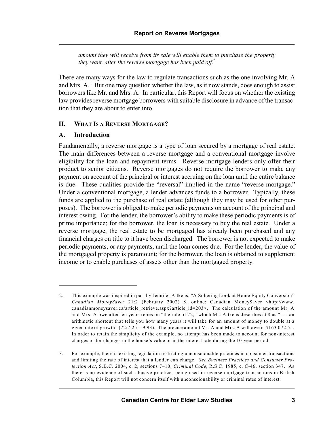*amount they will receive from its sale will enable them to purchase the property they want, after the reverse mortgage has been paid off.*<sup>2</sup>

There are many ways for the law to regulate transactions such as the one involving Mr. A and Mrs.  $A<sup>3</sup>$  But one may question whether the law, as it now stands, does enough to assist borrowers like Mr. and Mrs. A. In particular, this Report will focus on whether the existing law provides reverse mortgage borrowers with suitable disclosure in advance of the transaction that they are about to enter into.

# **II. WHAT IS A REVERSE MORTGAGE?**

## **A. Introduction**

Fundamentally, a reverse mortgage is a type of loan secured by a mortgage of real estate. The main differences between a reverse mortgage and a conventional mortgage involve eligibility for the loan and repayment terms. Reverse mortgage lenders only offer their product to senior citizens. Reverse mortgages do not require the borrower to make any payment on account of the principal or interest accruing on the loan until the entire balance is due. These qualities provide the "reversal" implied in the name "reverse mortgage." Under a conventional mortgage, a lender advances funds to a borrower. Typically, these funds are applied to the purchase of real estate (although they may be used for other purposes). The borrower is obliged to make periodic payments on account of the principal and interest owing. For the lender, the borrower's ability to make these periodic payments is of prime importance; for the borrower, the loan is necessary to buy the real estate. Under a reverse mortgage, the real estate to be mortgaged has already been purchased and any financial charges on title to it have been discharged. The borrower is not expected to make periodic payments, or any payments, until the loan comes due. For the lender, the value of the mortgaged property is paramount; for the borrower, the loan is obtained to supplement income or to enable purchases of assets other than the mortgaged property.

<sup>2.</sup> This example was inspired in part by Jennifer Aitkens, "A Sobering Look at Home Equity Conversion" *Canadian MoneySaver* 21:2 (February 2002) 8, online: Canadian MoneySaver <http://www. canadianmoneysaver.ca/article\_retrieve.aspx?article\_id=203>. The calculation of the amount Mr. A and Mrs. A owe after ten years relies on "the rule of 72," which Ms. Aitkens describes at 8 as ". . . an arithmetic shortcut that tells you how many years it will take for an amount of money to double at a given rate of growth"  $(72/7.25 = 9.93)$ . The precise amount Mr. A and Mrs. A will owe is \$163 072.55. In order to retain the simplicity of the example, no attempt has been made to account for non-interest charges or for changes in the house's value or in the interest rate during the 10-year period.

<sup>3.</sup> For example, there is existing legislation restricting unconscionable practices in consumer transactions and limiting the rate of interest that a lender can charge. *See Business Practices and Consumer Protection Act*, S.B.C. 2004, c. 2, sections 7–10; *Criminal Code*, R.S.C. 1985, c. C-46, section 347. As there is no evidence of such abusive practices being used in reverse mortgage transactions in British Columbia, this Report will not concern itself with unconscionability or criminal rates of interest.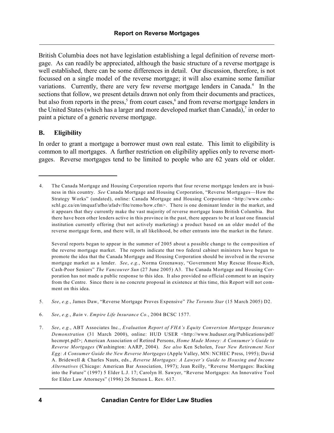British Columbia does not have legislation establishing a legal definition of reverse mortgage. As can readily be appreciated, although the basic structure of a reverse mortgage is well established, there can be some differences in detail. Our discussion, therefore, is not focussed on a single model of the reverse mortgage; it will also examine some familiar variations. Currently, there are very few reverse mortgage lenders in Canada.<sup>4</sup> In the sections that follow, we present details drawn not only from their documents and practices, but also from reports in the press,<sup>5</sup> from court cases,<sup>6</sup> and from reverse mortgage lenders in the United States (which has a larger and more developed market than Canada), $\frac{7}{1}$  in order to paint a picture of a generic reverse mortgage.

## **B. Eligibility**

In order to grant a mortgage a borrower must own real estate. This limit to eligibility is common to all mortgages. A further restriction on eligibility applies only to reverse mortgages. Reverse mortgages tend to be limited to people who are 62 years old or older.

Several reports began to appear in the summer of 2005 about a possible change to the composition of the reverse mortgage market. The reports indicate that two federal cabinet ministers have begun to promote the idea that the Canada Mortgage and Housing Corporation should be involved in the reverse mortgage market as a lender. *See*, *e.g.*, Norma Greenaway, "Government May Rescue House-Rich, Cash-Poor Seniors" *The Vancouver Sun* (27 June 2005) A3. The Canada Mortgage and Housing Corporation has not made a public response to this idea. It also provided no official comment to an inquiry from the Centre. Since there is no concrete proposal in existence at this time, this Report will not comment on this idea.

- 5. *See*, *e.g.*, James Daw, "Reverse Mortgage Proves Expensive" *The Toronto Star* (15 March 2005) D2.
- 6. *See*, *e.g.*, *Bain* v. *Empire Life Insurance Co.*, 2004 BCSC 1577.
- 7. *See*, *e.g.*, ABT Associates Inc., *Evaluation Report of FHA's Equity Conversion Mortgage Insurance Demonstration* (31 March 2000), online: HUD USER <http://www.huduser.org/Publications/pdf/ hecmrpt.pdf>; American Association of Retired Persons, *Home Made Money: A Consumer's Guide to Reverse Mortgages* (Washington: AARP, 2004). *See also* Ken Scholen, *Your New Retirement Nest Egg: A Consumer Guide the New Reverse Mortgages* (Apple Valley, MN: NCHEC Press, 1995); David A. Bridewell & Charles Nauts, eds., *Reverse Mortgages: A Lawyer's Guide to Housing and Income Alternatives* (Chicago: American Bar Association, 1997); Jean Reilly, "Reverse Mortgages: Backing into the Future" (1997) 5 Elder L.J. 17; Carolyn H. Sawyer, "Reverse Mortgages: An Innovative Tool for Elder Law Attorneys" (1996) 26 Stetson L. Rev. 617.

<sup>4.</sup> The Canada Mortgage and Housing Corporation reports that four reverse mortgage lenders are in business in this country. *See* Canada Mortgage and Housing Corporation, "Reverse Mortgages—How the Strategy Works" (undated), online: Canada Mortgage and Housing Corporation <http://www.cmhcschl.gc.ca/en/imquaf/afho/afadv/fite/remo/how.cfm>. There is one dominant lender in the market, and it appears that they currently make the vast majority of reverse mortgage loans British Columbia. But there have been other lenders active in this province in the past, there appears to be at least one financial institution currently offering (but not actively marketing) a product based on an older model of the reverse mortgage form, and there will, in all likelihood, be other entrants into the market in the future.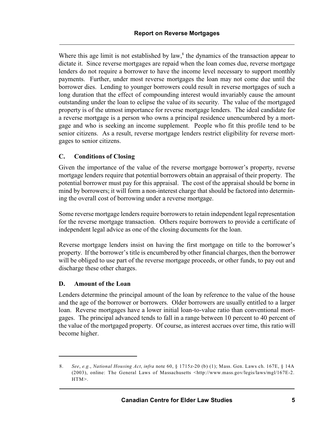Where this age limit is not established by law, $<sup>8</sup>$  the dynamics of the transaction appear to</sup> dictate it. Since reverse mortgages are repaid when the loan comes due, reverse mortgage lenders do not require a borrower to have the income level necessary to support monthly payments. Further, under most reverse mortgages the loan may not come due until the borrower dies. Lending to younger borrowers could result in reverse mortgages of such a long duration that the effect of compounding interest would invariably cause the amount outstanding under the loan to eclipse the value of its security. The value of the mortgaged property is of the utmost importance for reverse mortgage lenders. The ideal candidate for a reverse mortgage is a person who owns a principal residence unencumbered by a mortgage and who is seeking an income supplement. People who fit this profile tend to be senior citizens. As a result, reverse mortgage lenders restrict eligibility for reverse mortgages to senior citizens.

# **C. Conditions of Closing**

Given the importance of the value of the reverse mortgage borrower's property, reverse mortgage lenders require that potential borrowers obtain an appraisal of their property. The potential borrower must pay for this appraisal. The cost of the appraisal should be borne in mind by borrowers; it will form a non-interest charge that should be factored into determining the overall cost of borrowing under a reverse mortgage.

Some reverse mortgage lenders require borrowers to retain independent legal representation for the reverse mortgage transaction. Others require borrowers to provide a certificate of independent legal advice as one of the closing documents for the loan.

Reverse mortgage lenders insist on having the first mortgage on title to the borrower's property. If the borrower's title is encumbered by other financial charges, then the borrower will be obliged to use part of the reverse mortgage proceeds, or other funds, to pay out and discharge these other charges.

# **D. Amount of the Loan**

Lenders determine the principal amount of the loan by reference to the value of the house and the age of the borrower or borrowers. Older borrowers are usually entitled to a larger loan. Reverse mortgages have a lower initial loan-to-value ratio than conventional mortgages. The principal advanced tends to fall in a range between 10 percent to 40 percent of the value of the mortgaged property. Of course, as interest accrues over time, this ratio will become higher.

<sup>8.</sup> *See*, *e.g.*, *National Housing Act*, *infra* note 60, § 1715z-20 (b) (1); Mass. Gen. Laws ch. 167E, § 14A (2003), online: The General Laws of Massachusetts <http://www.mass.gov/legis/laws/mgl/167E-2. HTM>.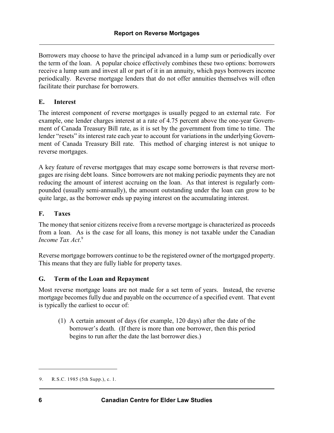Borrowers may choose to have the principal advanced in a lump sum or periodically over the term of the loan. A popular choice effectively combines these two options: borrowers receive a lump sum and invest all or part of it in an annuity, which pays borrowers income periodically. Reverse mortgage lenders that do not offer annuities themselves will often facilitate their purchase for borrowers.

# **E. Interest**

The interest component of reverse mortgages is usually pegged to an external rate. For example, one lender charges interest at a rate of 4.75 percent above the one-year Government of Canada Treasury Bill rate, as it is set by the government from time to time. The lender "resets" its interest rate each year to account for variations in the underlying Government of Canada Treasury Bill rate. This method of charging interest is not unique to reverse mortgages.

A key feature of reverse mortgages that may escape some borrowers is that reverse mortgages are rising debt loans. Since borrowers are not making periodic payments they are not reducing the amount of interest accruing on the loan. As that interest is regularly compounded (usually semi-annually), the amount outstanding under the loan can grow to be quite large, as the borrower ends up paying interest on the accumulating interest.

# **F. Taxes**

The money that senior citizens receive from a reverse mortgage is characterized as proceeds from a loan. As is the case for all loans, this money is not taxable under the Canadian *Income Tax Act*. 9

Reverse mortgage borrowers continue to be the registered owner of the mortgaged property. This means that they are fully liable for property taxes.

# **G. Term of the Loan and Repayment**

Most reverse mortgage loans are not made for a set term of years. Instead, the reverse mortgage becomes fully due and payable on the occurrence of a specified event. That event is typically the earliest to occur of:

(1) A certain amount of days (for example, 120 days) after the date of the borrower's death. (If there is more than one borrower, then this period begins to run after the date the last borrower dies.)

<sup>9.</sup> R.S.C. 1985 (5th Supp.), c. 1.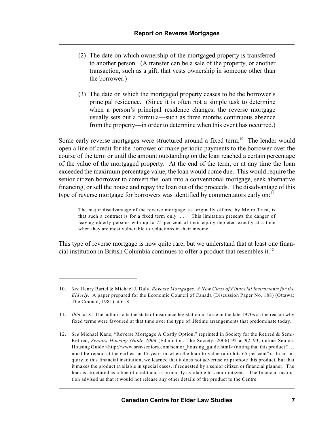- (2) The date on which ownership of the mortgaged property is transferred to another person. (A transfer can be a sale of the property, or another transaction, such as a gift, that vests ownership in someone other than the borrower.)
- (3) The date on which the mortgaged property ceases to be the borrower's principal residence. (Since it is often not a simple task to determine when a person's principal residence changes, the reverse mortgage usually sets out a formula—such as three months continuous absence from the property—in order to determine when this event has occurred.)

Some early reverse mortgages were structured around a fixed term.<sup>10</sup> The lender would open a line of credit for the borrower or make periodic payments to the borrower over the course of the term or until the amount outstanding on the loan reached a certain percentage of the value of the mortgaged property. At the end of the term, or at any time the loan exceeded the maximum percentage value, the loan would come due. This would require the senior citizen borrower to convert the loan into a conventional mortgage, seek alternative financing, or sell the house and repay the loan out of the proceeds. The disadvantage of this type of reverse mortgage for borrowers was identified by commentators early on:<sup>11</sup>

The major disadvantage of the reverse mortgage, as originally offered by Metro Trust, is that such a contract is for a fixed term only. . . . This limitation presents the danger of leaving elderly persons with up to 75 per cent of their equity depleted exactly at a time when they are most vulnerable to reductions in their income.

This type of reverse mortgage is now quite rare, but we understand that at least one financial institution in British Columbia continues to offer a product that resembles it. 12

<sup>10.</sup> *See* Henry Bartel & Michael J. Daly, *Reverse Mortgages: A New Class of Financial Instruments for the Elderly*. A paper prepared for the Economic Council of Canada (Discussion Paper No. 188) (Ottawa: The Council, 1981) at 6–8.

<sup>11.</sup> *Ibid.* at 8. The authors cite the state of insurance legislation in force in the late 1970s as the reason why fixed terms were favoured at that time over the type of lifetime arrangements that predominate today.

<sup>12.</sup> *See* Michael Kane, "Reverse Mortgage A Costly Option," reprinted in Society for the Retired & Semi-Retired, *Seniors Housing Guide 2006* (Edmonton: The Society, 2006) 92 at 92–93, online Seniors Housing Guide <http://www.srsr-seniors.com/senior\_housing\_guide.html> (noting that this product "... must be repaid at the earliest in 15 years or when the loan-to-value ratio hits 65 per cent"). In an inquiry to this financial institution, we learned that it does not advertise or promote this product, but that it makes the product available in special cases, if requested by a senior citizen or financial planner. The loan is structured as a line of credit and is primarily available to senior citizens. The financial institution advised us that it would not release any other details of the product to the Centre.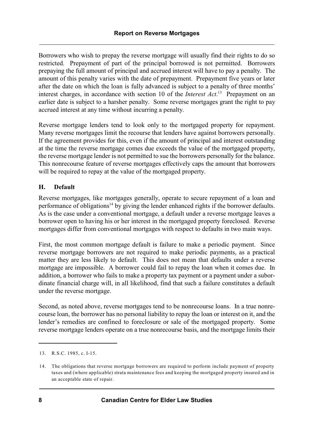Borrowers who wish to prepay the reverse mortgage will usually find their rights to do so restricted. Prepayment of part of the principal borrowed is not permitted. Borrowers prepaying the full amount of principal and accrued interest will have to pay a penalty. The amount of this penalty varies with the date of prepayment. Prepayment five years or later after the date on which the loan is fully advanced is subject to a penalty of three months' interest charges, in accordance with section 10 of the *Interest Act*.<sup>13</sup> Prepayment on an earlier date is subject to a harsher penalty. Some reverse mortgages grant the right to pay accrued interest at any time without incurring a penalty.

Reverse mortgage lenders tend to look only to the mortgaged property for repayment. Many reverse mortgages limit the recourse that lenders have against borrowers personally. If the agreement provides for this, even if the amount of principal and interest outstanding at the time the reverse mortgage comes due exceeds the value of the mortgaged property, the reverse mortgage lender is not permitted to sue the borrowers personally for the balance. This nonrecourse feature of reverse mortgages effectively caps the amount that borrowers will be required to repay at the value of the mortgaged property.

# **H. Default**

Reverse mortgages, like mortgages generally, operate to secure repayment of a loan and performance of obligations<sup> $14$ </sup> by giving the lender enhanced rights if the borrower defaults. As is the case under a conventional mortgage, a default under a reverse mortgage leaves a borrower open to having his or her interest in the mortgaged property foreclosed. Reverse mortgages differ from conventional mortgages with respect to defaults in two main ways.

First, the most common mortgage default is failure to make a periodic payment. Since reverse mortgage borrowers are not required to make periodic payments, as a practical matter they are less likely to default. This does not mean that defaults under a reverse mortgage are impossible. A borrower could fail to repay the loan when it comes due. In addition, a borrower who fails to make a property tax payment or a payment under a subordinate financial charge will, in all likelihood, find that such a failure constitutes a default under the reverse mortgage.

Second, as noted above, reverse mortgages tend to be nonrecourse loans. In a true nonrecourse loan, the borrower has no personal liability to repay the loan or interest on it, and the lender's remedies are confined to foreclosure or sale of the mortgaged property. Some reverse mortgage lenders operate on a true nonrecourse basis, and the mortgage limits their

<sup>13.</sup> R.S.C. 1985, c. I-15.

<sup>14.</sup> The obligations that reverse mortgage borrowers are required to perform include payment of property taxes and (where applicable) strata maintenance fees and keeping the mortgaged property insured and in an acceptable state of repair.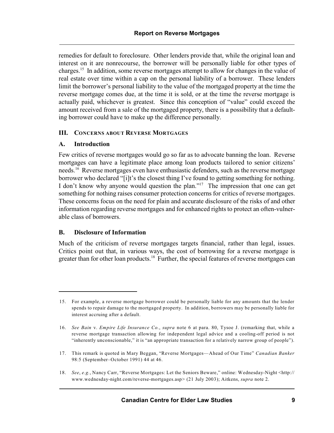remedies for default to foreclosure. Other lenders provide that, while the original loan and interest on it are nonrecourse, the borrower will be personally liable for other types of charges.<sup>15</sup> In addition, some reverse mortgages attempt to allow for changes in the value of real estate over time within a cap on the personal liability of a borrower. These lenders limit the borrower's personal liability to the value of the mortgaged property at the time the reverse mortgage comes due, at the time it is sold, or at the time the reverse mortgage is actually paid, whichever is greatest. Since this conception of "value" could exceed the amount received from a sale of the mortgaged property, there is a possibility that a defaulting borrower could have to make up the difference personally.

# **III. CONCERNS ABOUT REVERSE MORTGAGES**

# **A. Introduction**

Few critics of reverse mortgages would go so far as to advocate banning the loan. Reverse mortgages can have a legitimate place among loan products tailored to senior citizens' needs.<sup>16</sup> Reverse mortgages even have enthusiastic defenders, such as the reverse mortgage borrower who declared "[i]t's the closest thing I've found to getting something for nothing. I don't know why anyone would question the plan."<sup>17</sup> The impression that one can get something for nothing raises consumer protection concerns for critics of reverse mortgages. These concerns focus on the need for plain and accurate disclosure of the risks of and other information regarding reverse mortgages and for enhanced rights to protect an often-vulnerable class of borrowers.

# **B. Disclosure of Information**

Much of the criticism of reverse mortgages targets financial, rather than legal, issues. Critics point out that, in various ways, the cost of borrowing for a reverse mortgage is greater than for other loan products.<sup>18</sup> Further, the special features of reverse mortgages can

<sup>15.</sup> For example, a reverse mortgage borrower could be personally liable for any amounts that the lender spends to repair damage to the mortgaged property. In addition, borrowers may be personally liable for interest accruing after a default.

<sup>16.</sup> *See Bain* v. *Empire Life Insurance Co.*, *supra* note 6 at para. 80, Tysoe J. (remarking that, while a reverse mortgage transaction allowing for independent legal advice and a cooling-off period is not "inherently unconscionable," it is "an appropriate transaction for a relatively narrow group of people").

<sup>17.</sup> This remark is quoted in Mary Beggan, "Reverse Mortgages—Ahead of Our Time" *Canadian Banker* 98:5 (September–October 1991) 44 at 46.

<sup>18.</sup> *See*, *e.g.*, Nancy Carr, "Reverse Mortgages: Let the Seniors Beware," online: Wednesday-Night <http:// www.wednesday-night.com/reverse-mortgages.asp> (21 July 2003); Aitkens, *supra* note 2.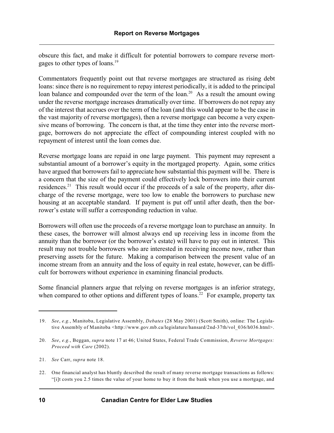obscure this fact, and make it difficult for potential borrowers to compare reverse mortgages to other types of loans. 19

Commentators frequently point out that reverse mortgages are structured as rising debt loans: since there is no requirement to repay interest periodically, it is added to the principal loan balance and compounded over the term of the loan.<sup>20</sup> As a result the amount owing under the reverse mortgage increases dramatically over time. If borrowers do not repay any of the interest that accrues over the term of the loan (and this would appear to be the case in the vast majority of reverse mortgages), then a reverse mortgage can become a very expensive means of borrowing. The concern is that, at the time they enter into the reverse mortgage, borrowers do not appreciate the effect of compounding interest coupled with no repayment of interest until the loan comes due.

Reverse mortgage loans are repaid in one large payment. This payment may represent a substantial amount of a borrower's equity in the mortgaged property. Again, some critics have argued that borrowers fail to appreciate how substantial this payment will be. There is a concern that the size of the payment could effectively lock borrowers into their current residences.<sup>21</sup> This result would occur if the proceeds of a sale of the property, after discharge of the reverse mortgage, were too low to enable the borrowers to purchase new housing at an acceptable standard. If payment is put off until after death, then the borrower's estate will suffer a corresponding reduction in value.

Borrowers will often use the proceeds of a reverse mortgage loan to purchase an annuity. In these cases, the borrower will almost always end up receiving less in income from the annuity than the borrower (or the borrower's estate) will have to pay out in interest. This result may not trouble borrowers who are interested in receiving income now, rather than preserving assets for the future. Making a comparison between the present value of an income stream from an annuity and the loss of equity in real estate, however, can be difficult for borrowers without experience in examining financial products.

Some financial planners argue that relying on reverse mortgages is an inferior strategy, when compared to other options and different types of loans.<sup>22</sup> For example, property tax

<sup>19.</sup> *See*, *e.g.*, Manitoba, Legislative Assembly, *Debates* (28 May 2001) (Scott Smith), online: The Legislative Assembly of Manitoba <http://www.gov.mb.ca/legislature/hansard/2nd-37th/vol 036/h036.html>.

<sup>20.</sup> *See*, *e.g.*, Beggan, *supra* note 17 at 46; United States, Federal Trade Commission, *Reverse Mortgages: Proceed with Care* (2002).

<sup>21.</sup> *See* Carr, *supra* note 18.

<sup>22.</sup> One financial analyst has bluntly described the result of many reverse mortgage transactions as follows: "[i]t costs you 2.5 times the value of your home to buy it from the bank when you use a mortgage, and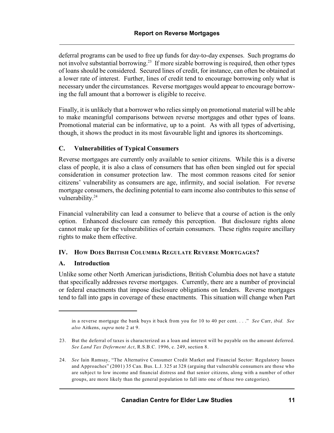deferral programs can be used to free up funds for day-to-day expenses. Such programs do not involve substantial borrowing.<sup>23</sup> If more sizable borrowing is required, then other types of loans should be considered. Secured lines of credit, for instance, can often be obtained at a lower rate of interest. Further, lines of credit tend to encourage borrowing only what is necessary under the circumstances. Reverse mortgages would appear to encourage borrowing the full amount that a borrower is eligible to receive.

Finally, it is unlikely that a borrower who relies simply on promotional material will be able to make meaningful comparisons between reverse mortgages and other types of loans. Promotional material can be informative, up to a point. As with all types of advertising, though, it shows the product in its most favourable light and ignores its shortcomings.

# **C. Vulnerabilities of Typical Consumers**

Reverse mortgages are currently only available to senior citizens. While this is a diverse class of people, it is also a class of consumers that has often been singled out for special consideration in consumer protection law. The most common reasons cited for senior citizens' vulnerability as consumers are age, infirmity, and social isolation. For reverse mortgage consumers, the declining potential to earn income also contributes to this sense of vulnerability.<sup>24</sup>

Financial vulnerability can lead a consumer to believe that a course of action is the only option. Enhanced disclosure can remedy this perception. But disclosure rights alone cannot make up for the vulnerabilities of certain consumers. These rights require ancillary rights to make them effective.

# **IV. HOW DOES BRITISH COLUMBIA REGULATE REVERSE MORTGAGES?**

# **A. Introduction**

Unlike some other North American jurisdictions, British Columbia does not have a statute that specifically addresses reverse mortgages. Currently, there are a number of provincial or federal enactments that impose disclosure obligations on lenders. Reverse mortgages tend to fall into gaps in coverage of these enactments. This situation will change when Part

in a reverse mortgage the bank buys it back from you for 10 to 40 per cent. . . ." *See* Carr, *ibid. See also* Aitkens, *supra* note 2 at 9.

<sup>23.</sup> But the deferral of taxes is characterized as a loan and interest will be payable on the amount deferred. *See Land Tax Deferment Act*, R.S.B.C. 1996, c. 249, section 8.

<sup>24.</sup> *See* Iain Ramsay, "The Alternative Consumer Credit Market and Financial Sector: Regulatory Issues and Approaches" (2001) 35 Can. Bus. L.J. 325 at 328 (arguing that vulnerable consumers are those who are subject to low income and financial distress and that senior citizens, along with a number of other groups, are more likely than the general population to fall into one of these two categories).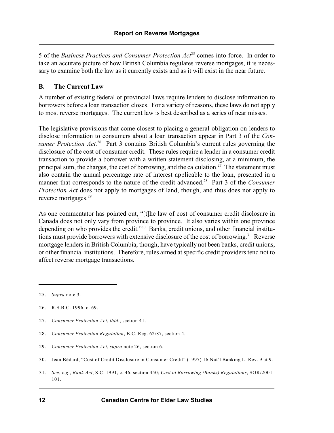5 of the *Business Practices and Consumer Protection Act*<sup>25</sup> comes into force. In order to take an accurate picture of how British Columbia regulates reverse mortgages, it is necessary to examine both the law as it currently exists and as it will exist in the near future.

# **B. The Current Law**

A number of existing federal or provincial laws require lenders to disclose information to borrowers before a loan transaction closes. For a variety of reasons, these laws do not apply to most reverse mortgages. The current law is best described as a series of near misses.

The legislative provisions that come closest to placing a general obligation on lenders to disclose information to consumers about a loan transaction appear in Part 3 of the *Consumer Protection Act.*<sup>26</sup> Part 3 contains British Columbia's current rules governing the disclosure of the cost of consumer credit. These rules require a lender in a consumer credit transaction to provide a borrower with a written statement disclosing, at a minimum, the principal sum, the charges, the cost of borrowing, and the calculation.<sup>27</sup> The statement must also contain the annual percentage rate of interest applicable to the loan, presented in a manner that corresponds to the nature of the credit advanced.<sup>28</sup> Part 3 of the *Consumer Protection Act* does not apply to mortgages of land, though, and thus does not apply to reverse mortgages.<sup>29</sup>

As one commentator has pointed out, "[t]he law of cost of consumer credit disclosure in Canada does not only vary from province to province. It also varies within one province depending on who provides the credit."<sup>30</sup> Banks, credit unions, and other financial institutions must provide borrowers with extensive disclosure of the cost of borrowing.<sup>31</sup> Reverse mortgage lenders in British Columbia, though, have typically not been banks, credit unions, or other financial institutions. Therefore, rules aimed at specific credit providers tend not to affect reverse mortgage transactions.

31. *See*, *e.g.*, *Bank Act*, S.C. 1991, c. 46, section 450; *Cost of Borrowing (Banks) Regulations*, SOR/2001- 101.

<sup>25.</sup> *Supra* note 3.

<sup>26.</sup> R.S.B.C. 1996, c. 69.

<sup>27.</sup> *Consumer Protection Act*, *ibid.*, section 41.

<sup>28.</sup> *Consumer Protection Regulation*, B.C. Reg. 62/87, section 4.

<sup>29.</sup> *Consumer Protection Act*, *supra* note 26, section 6.

<sup>30.</sup> Jean Bédard, "Cost of Credit Disclosure in Consumer Credit" (1997) 16 Nat'l Banking L. Rev. 9 at 9.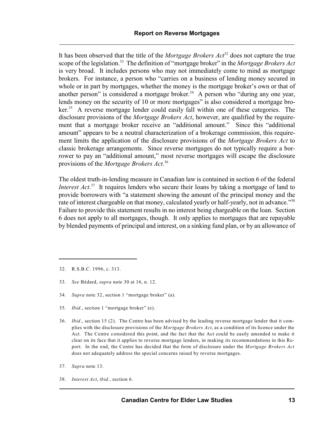It has been observed that the title of the *Mortgage Brokers*  $Act<sup>32</sup>$  does not capture the true scope of the legislation.<sup>33</sup> The definition of "mortgage broker" in the *Mortgage Brokers Act* is very broad. It includes persons who may not immediately come to mind as mortgage brokers. For instance, a person who "carries on a business of lending money secured in whole or in part by mortgages, whether the money is the mortgage broker's own or that of another person" is considered a mortgage broker.<sup>34</sup> A person who "during any one year, lends money on the security of 10 or more mortgages" is also considered a mortgage bro- $\ker$ <sup>35</sup>. A reverse mortgage lender could easily fall within one of these categories. The disclosure provisions of the *Mortgage Brokers Act*, however, are qualified by the requirement that a mortgage broker receive an "additional amount." Since this "additional amount" appears to be a neutral characterization of a brokerage commission, this requirement limits the application of the disclosure provisions of the *Mortgage Brokers Act* to classic brokerage arrangements. Since reverse mortgages do not typically require a borrower to pay an "additional amount," most reverse mortgages will escape the disclosure provisions of the *Mortgage Brokers Act*. 36

The oldest truth-in-lending measure in Canadian law is contained in section 6 of the federal *Interest Act*<sup>37</sup>. It requires lenders who secure their loans by taking a mortgage of land to provide borrowers with "a statement showing the amount of the principal money and the rate of interest chargeable on that money, calculated yearly or half-yearly, not in advance."<sup>38</sup> Failure to provide this statement results in no interest being chargeable on the loan. Section 6 does not apply to all mortgages, though. It only applies to mortgages that are repayable by blended payments of principal and interest, on a sinking fund plan, or by an allowance of

- 33. *See* Bédard, *supra* note 30 at 16, n. 12.
- 34. *Supra* note 32, section 1 "mortgage broker" (a).
- 35. *Ibid.*, section 1 "mortgage broker" (e).
- 36. *Ibid.*, section 15 (2). The Centre has been advised by the leading reverse mortgage lender that it complies with the disclosure provisions of the *Mortgage Brokers Act*, as a condition of its licence under the Act. The Centre considered this point, and the fact that the Act could be easily amended to make it clear on its face that it applies to reverse mortgage lenders, in making its recommendations in this Report. In the end, the Centre has decided that the form of disclosure under the *Mortgage Brokers Act* does not adequately address the special concerns raised by reverse mortgages.
- 37. *Supra* note 13.
- 38. *Interest Act*, *ibid.*, section 6.

<sup>32.</sup> R.S.B.C. 1996, c. 313.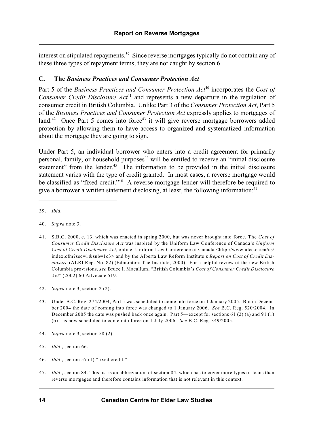interest on stipulated repayments.<sup>39</sup> Since reverse mortgages typically do not contain any of these three types of repayment terms, they are not caught by section 6.

## **C. The** *Business Practices and Consumer Protection Act*

Part 5 of the *Business Practices and Consumer Protection Act*<sup>40</sup> incorporates the *Cost of Consumer Credit Disclosure Act*<sup>41</sup> and represents a new departure in the regulation of consumer credit in British Columbia. Unlike Part 3 of the *Consumer Protection Act*, Part 5 of the *Business Practices and Consumer Protection Act* expressly applies to mortgages of land.<sup>42</sup> Once Part 5 comes into force<sup>43</sup> it will give reverse mortgage borrowers added protection by allowing them to have access to organized and systematized information about the mortgage they are going to sign.

Under Part 5, an individual borrower who enters into a credit agreement for primarily personal, family, or household purposes<sup>44</sup> will be entitled to receive an "initial disclosure statement" from the lender.<sup>45</sup> The information to be provided in the initial disclosure statement varies with the type of credit granted. In most cases, a reverse mortgage would be classified as "fixed credit."<sup>46</sup> A reverse mortgage lender will therefore be required to give a borrower a written statement disclosing, at least, the following information: $47$ 

44. *Supra* note 3, section 58 (2).

- 46. *Ibid.*, section 57 (1) "fixed credit."
- 47. *Ibid.*, section 84. This list is an abbreviation of section 84, which has to cover more types of loans than reverse mortgages and therefore contains information that is not relevant in this context.

<sup>39.</sup> *Ibid.*

<sup>40.</sup> *Supra* note 3.

<sup>41.</sup> S.B.C. 2000, c. 13, which was enacted in spring 2000, but was never brought into force. The *Cost of Consumer Credit Disclosure Act* was inspired by the Uniform Law Conference of Canada's *Uniform Cost of Credit Disclosure Act*, online: Uniform Law Conference of Canada <http://www.ulcc.ca/en/us/ index.cfm?sec=1&sub=1c3> and by the Alberta Law Reform Institute's *Report on Cost of Credit Disclosure* (ALRI Rep. No. 82) (Edmonton: The Institute, 2000). For a helpful review of the new British Columbia provisions, *see* Bruce I. Macallum, "British Columbia's *Cost of Consumer Credit Disclosure Act*" (2002) 60 Advocate 519.

<sup>42.</sup> *Supra* note 3, section 2 (2).

<sup>43.</sup> Under B.C. Reg. 274/2004, Part 5 was scheduled to come into force on 1 January 2005. But in December 2004 the date of coming into force was changed to 1 January 2006. *See* B.C. Reg. 520/2004. In December 2005 the date was pushed back once again. Part 5—except for sections 61 (2) (a) and 91 (1) (b)—is now scheduled to come into force on 1 July 2006. *See* B.C. Reg. 349/2005.

<sup>45.</sup> *Ibid.*, section 66.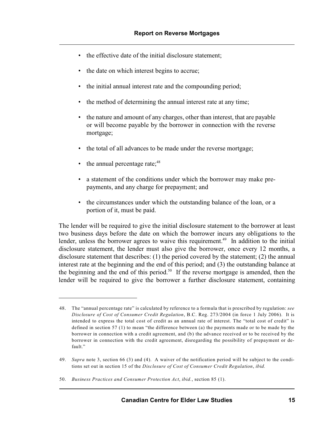- the effective date of the initial disclosure statement;
- the date on which interest begins to accrue;
- the initial annual interest rate and the compounding period;
- the method of determining the annual interest rate at any time;
- the nature and amount of any charges, other than interest, that are payable or will become payable by the borrower in connection with the reverse mortgage;
- the total of all advances to be made under the reverse mortgage;
- the annual percentage rate; $48$
- a statement of the conditions under which the borrower may make prepayments, and any charge for prepayment; and
- the circumstances under which the outstanding balance of the loan, or a portion of it, must be paid.

The lender will be required to give the initial disclosure statement to the borrower at least two business days before the date on which the borrower incurs any obligations to the lender, unless the borrower agrees to waive this requirement.<sup> $49$ </sup> In addition to the initial disclosure statement, the lender must also give the borrower, once every 12 months, a disclosure statement that describes: (1) the period covered by the statement; (2) the annual interest rate at the beginning and the end of this period; and (3) the outstanding balance at the beginning and the end of this period.<sup>50</sup> If the reverse mortgage is amended, then the lender will be required to give the borrower a further disclosure statement, containing

<sup>48.</sup> The "annual percentage rate" is calculated by reference to a formula that is prescribed by regulation: *see Disclosure of Cost of Consumer Credit Regulation*, B.C. Reg. 273/2004 (in force 1 July 2006). It is intended to express the total cost of credit as an annual rate of interest. The "total cost of credit" is defined in section 57 (1) to mean "the difference between (a) the payments made or to be made by the borrower in connection with a credit agreement, and (b) the advance received or to be received by the borrower in connection with the credit agreement, disregarding the possibility of prepayment or default."

<sup>49.</sup> *Supra* note 3, section 66 (3) and (4). A waiver of the notification period will be subject to the conditions set out in section 15 of the *Disclosure of Cost of Consumer Credit Regulation*, *ibid.*

<sup>50.</sup> *Business Practices and Consumer Protection Act*, *ibid.*, section 85 (1).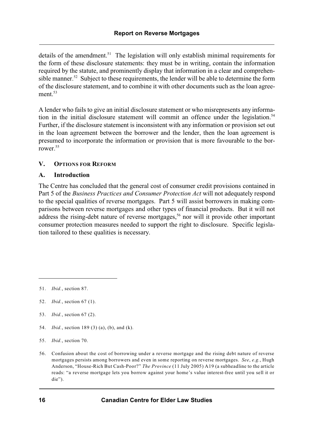details of the amendment.<sup>51</sup> The legislation will only establish minimal requirements for the form of these disclosure statements: they must be in writing, contain the information required by the statute, and prominently display that information in a clear and comprehensible manner.<sup>52</sup> Subject to these requirements, the lender will be able to determine the form of the disclosure statement, and to combine it with other documents such as the loan agreement.<sup>53</sup>

A lender who fails to give an initial disclosure statement or who misrepresents any information in the initial disclosure statement will commit an offence under the legislation.<sup>54</sup> Further, if the disclosure statement is inconsistent with any information or provision set out in the loan agreement between the borrower and the lender, then the loan agreement is presumed to incorporate the information or provision that is more favourable to the borrower.<sup>55</sup>

# **V. OPTIONS FOR REFORM**

# **A. Introduction**

The Centre has concluded that the general cost of consumer credit provisions contained in Part 5 of the *Business Practices and Consumer Protection Act* will not adequately respond to the special qualities of reverse mortgages. Part 5 will assist borrowers in making comparisons between reverse mortgages and other types of financial products. But it will not address the rising-debt nature of reverse mortgages,<sup>56</sup> nor will it provide other important consumer protection measures needed to support the right to disclosure. Specific legislation tailored to these qualities is necessary.

- 53. *Ibid.*, section 67 (2).
- 54. *Ibid.*, section 189 (3) (a), (b), and (k).
- 55. *Ibid.*, section 70.
- 56. Confusion about the cost of borrowing under a reverse mortgage and the rising debt nature of reverse mortgages persists among borrowers and even in some reporting on reverse mortgages. *See*, *e.g.*, Hugh Anderson, "House-Rich But Cash-Poor?" *The Province* (11 July 2005) A19 (a subheadline to the article reads: "a reverse mortgage lets you borrow against your home's value interest-free until you sell it or die").

<sup>51.</sup> *Ibid.*, section 87.

<sup>52.</sup> *Ibid.*, section 67 (1).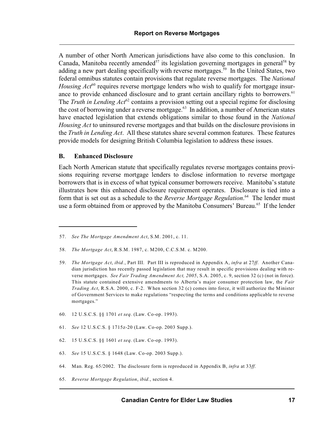A number of other North American jurisdictions have also come to this conclusion. In Canada, Manitoba recently amended<sup>57</sup> its legislation governing mortgages in general<sup>58</sup> by adding a new part dealing specifically with reverse mortgages.<sup>59</sup> In the United States, two federal omnibus statutes contain provisions that regulate reverse mortgages. The *National Housing Act*<sup>60</sup> requires reverse mortgage lenders who wish to qualify for mortgage insurance to provide enhanced disclosure and to grant certain ancillary rights to borrowers.<sup>61</sup> The *Truth in Lending Act*<sup>62</sup> contains a provision setting out a special regime for disclosing the cost of borrowing under a reverse mortgage. $63$  In addition, a number of American states have enacted legislation that extends obligations similar to those found in the *National Housing Act* to uninsured reverse mortgages and that builds on the disclosure provisions in the *Truth in Lending Act*. All these statutes share several common features. These features provide models for designing British Columbia legislation to address these issues.

## **B. Enhanced Disclosure**

Each North American statute that specifically regulates reverse mortgages contains provisions requiring reverse mortgage lenders to disclose information to reverse mortgage borrowers that is in excess of what typical consumer borrowers receive. Manitoba's statute illustrates how this enhanced disclosure requirement operates. Disclosure is tied into a form that is set out as a schedule to the *Reverse Mortgage Regulation*.<sup>64</sup> The lender must use a form obtained from or approved by the Manitoba Consumers' Bureau.<sup>65</sup> If the lender

- 60. 12 U.S.C.S. §§ 1701 *et seq.* (Law. Co-op. 1993).
- 61. *See* 12 U.S.C.S. § 1715z-20 (Law. Co-op. 2003 Supp.).
- 62. 15 U.S.C.S. §§ 1601 *et seq.* (Law. Co-op. 1993).
- 63. *See* 15 U.S.C.S. § 1648 (Law. Co-op. 2003 Supp.).
- 64. Man. Reg. 65/2002. The disclosure form is reproduced in Appendix B, *infra* at 33*ff*.
- 65. *Reverse Mortgage Regulation*, *ibid.*, section 4.

<sup>57.</sup> *See The Mortgage Amendment Act*, S.M. 2001, c. 11.

<sup>58.</sup> *The Mortgage Act*, R.S.M. 1987, c. M200, C.C.S.M. c. M200.

<sup>59.</sup> *The Mortgage Act*, *ibid.*, Part III. Part III is reproduced in Appendix A, *infra* at 27*ff*. Another Canadian jurisdiction has recently passed legislation that may result in specific provisions dealing with reverse mortgages. *See Fair Trading Amendment Act, 2005*, S.A. 2005, c. 9, section 32 (c) (not in force). This statute contained extensive amendments to Alberta's major consumer protection law, the *Fair Trading Act*, R.S.A. 2000, c. F-2. When section 32 (c) comes into force, it will authorize the Minister of Government Services to make regulations "respecting the terms and conditions applicable to reverse mortgages."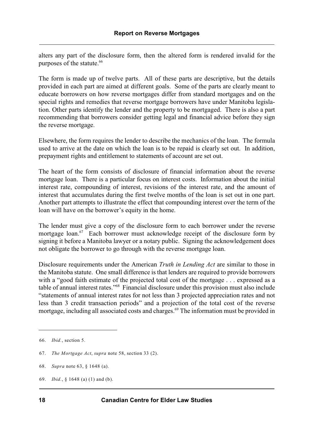alters any part of the disclosure form, then the altered form is rendered invalid for the purposes of the statute.<sup>66</sup>

The form is made up of twelve parts. All of these parts are descriptive, but the details provided in each part are aimed at different goals. Some of the parts are clearly meant to educate borrowers on how reverse mortgages differ from standard mortgages and on the special rights and remedies that reverse mortgage borrowers have under Manitoba legislation. Other parts identify the lender and the property to be mortgaged. There is also a part recommending that borrowers consider getting legal and financial advice before they sign the reverse mortgage.

Elsewhere, the form requires the lender to describe the mechanics of the loan. The formula used to arrive at the date on which the loan is to be repaid is clearly set out. In addition, prepayment rights and entitlement to statements of account are set out.

The heart of the form consists of disclosure of financial information about the reverse mortgage loan. There is a particular focus on interest costs. Information about the initial interest rate, compounding of interest, revisions of the interest rate, and the amount of interest that accumulates during the first twelve months of the loan is set out in one part. Another part attempts to illustrate the effect that compounding interest over the term of the loan will have on the borrower's equity in the home.

The lender must give a copy of the disclosure form to each borrower under the reverse mortgage loan. $67$  Each borrower must acknowledge receipt of the disclosure form by signing it before a Manitoba lawyer or a notary public. Signing the acknowledgement does not obligate the borrower to go through with the reverse mortgage loan.

Disclosure requirements under the American *Truth in Lending Act* are similar to those in the Manitoba statute. One small difference is that lenders are required to provide borrowers with a "good faith estimate of the projected total cost of the mortgage . . . expressed as a table of annual interest rates."<sup>68</sup> Financial disclosure under this provision must also include "statements of annual interest rates for not less than 3 projected appreciation rates and not less than 3 credit transaction periods" and a projection of the total cost of the reverse mortgage, including all associated costs and charges.<sup> $69$ </sup> The information must be provided in

<sup>66.</sup> *Ibid.*, section 5.

<sup>67.</sup> *The Mortgage Act*, *supra* note 58, section 33 (2).

<sup>68.</sup> *Supra* note 63, § 1648 (a).

<sup>69.</sup> *Ibid.*, § 1648 (a) (1) and (b).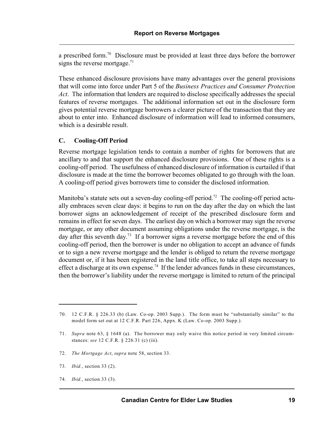a prescribed form.<sup>70</sup> Disclosure must be provided at least three days before the borrower signs the reverse mortgage. $71$ 

These enhanced disclosure provisions have many advantages over the general provisions that will come into force under Part 5 of the *Business Practices and Consumer Protection Act*. The information that lenders are required to disclose specifically addresses the special features of reverse mortgages. The additional information set out in the disclosure form gives potential reverse mortgage borrowers a clearer picture of the transaction that they are about to enter into. Enhanced disclosure of information will lead to informed consumers, which is a desirable result.

# **C. Cooling-Off Period**

Reverse mortgage legislation tends to contain a number of rights for borrowers that are ancillary to and that support the enhanced disclosure provisions. One of these rights is a cooling-off period. The usefulness of enhanced disclosure of information is curtailed if that disclosure is made at the time the borrower becomes obligated to go through with the loan. A cooling-off period gives borrowers time to consider the disclosed information.

Manitoba's statute sets out a seven-day cooling-off period.<sup>72</sup> The cooling-off period actually embraces seven clear days: it begins to run on the day after the day on which the last borrower signs an acknowledgement of receipt of the prescribed disclosure form and remains in effect for seven days. The earliest day on which a borrower may sign the reverse mortgage, or any other document assuming obligations under the reverse mortgage, is the day after this seventh day.<sup>73</sup> If a borrower signs a reverse mortgage before the end of this cooling-off period, then the borrower is under no obligation to accept an advance of funds or to sign a new reverse mortgage and the lender is obliged to return the reverse mortgage document or, if it has been registered in the land title office, to take all steps necessary to effect a discharge at its own expense.<sup>74</sup> If the lender advances funds in these circumstances, then the borrower's liability under the reverse mortgage is limited to return of the principal

- 72. *The Mortgage Act*, *supra* note 58, section 33.
- 73. *Ibid.*, section 33 (2).
- 74. *Ibid.*, section 33 (3).

<sup>70.</sup> 12 C.F.R. § 226.33 (b) (Law. Co-op. 2003 Supp.). The form must be "substantially similar" to the model form set out at 12 C.F.R. Part 226, Appx. K (Law. Co-op. 2003 Supp.).

<sup>71.</sup> *Supra* note 63, § 1648 (a). The borrower may only waive this notice period in very limited circumstances: *see* 12 C.F.R. § 226.31 (c) (iii).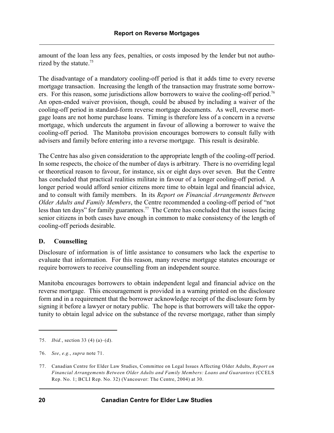amount of the loan less any fees, penalties, or costs imposed by the lender but not authorized by the statute.<sup>75</sup>

The disadvantage of a mandatory cooling-off period is that it adds time to every reverse mortgage transaction. Increasing the length of the transaction may frustrate some borrowers. For this reason, some jurisdictions allow borrowers to waive the cooling-off period.<sup>76</sup> An open-ended waiver provision, though, could be abused by including a waiver of the cooling-off period in standard-form reverse mortgage documents. As well, reverse mortgage loans are not home purchase loans. Timing is therefore less of a concern in a reverse mortgage, which undercuts the argument in favour of allowing a borrower to waive the cooling-off period. The Manitoba provision encourages borrowers to consult fully with advisers and family before entering into a reverse mortgage. This result is desirable.

The Centre has also given consideration to the appropriate length of the cooling-off period. In some respects, the choice of the number of days is arbitrary. There is no overriding legal or theoretical reason to favour, for instance, six or eight days over seven. But the Centre has concluded that practical realities militate in favour of a longer cooling-off period. A longer period would afford senior citizens more time to obtain legal and financial advice, and to consult with family members. In its *Report on Financial Arrangements Between Older Adults and Family Members*, the Centre recommended a cooling-off period of "not less than ten days" for family guarantees.<sup> $77$ </sup> The Centre has concluded that the issues facing senior citizens in both cases have enough in common to make consistency of the length of cooling-off periods desirable.

## **D. Counselling**

Disclosure of information is of little assistance to consumers who lack the expertise to evaluate that information. For this reason, many reverse mortgage statutes encourage or require borrowers to receive counselling from an independent source.

Manitoba encourages borrowers to obtain independent legal and financial advice on the reverse mortgage. This encouragement is provided in a warning printed on the disclosure form and in a requirement that the borrower acknowledge receipt of the disclosure form by signing it before a lawyer or notary public. The hope is that borrowers will take the opportunity to obtain legal advice on the substance of the reverse mortgage, rather than simply

<sup>75.</sup> *Ibid.*, section 33 (4) (a)–(d).

<sup>76.</sup> *See*, *e.g.*, *supra* note 71.

<sup>77.</sup> Canadian Centre for Elder Law Studies, Committee on Legal Issues Affecting Older Adults, *Report on Financial Arrangements Between Older Adults and Family Members: Loans and Guarantees* (CCELS Rep. No. 1; BCLI Rep. No. 32) (Vancouver: The Centre, 2004) at 30.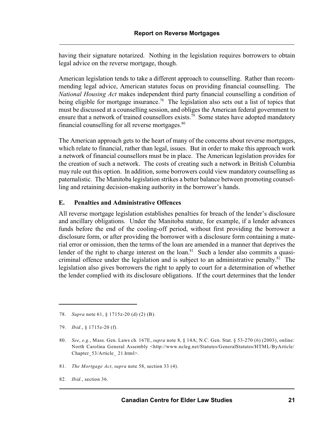having their signature notarized. Nothing in the legislation requires borrowers to obtain legal advice on the reverse mortgage, though.

American legislation tends to take a different approach to counselling. Rather than recommending legal advice, American statutes focus on providing financial counselling. The *National Housing Act* makes independent third party financial counselling a condition of being eligible for mortgage insurance.<sup>78</sup> The legislation also sets out a list of topics that must be discussed at a counselling session, and obliges the American federal government to ensure that a network of trained counsellors exists.<sup>79</sup> Some states have adopted mandatory financial counselling for all reverse mortgages.<sup>80</sup>

The American approach gets to the heart of many of the concerns about reverse mortgages, which relate to financial, rather than legal, issues. But in order to make this approach work a network of financial counsellors must be in place. The American legislation provides for the creation of such a network. The costs of creating such a network in British Columbia may rule out this option. In addition, some borrowers could view mandatory counselling as paternalistic. The Manitoba legislation strikes a better balance between promoting counselling and retaining decision-making authority in the borrower's hands.

## **E. Penalties and Administrative Offences**

All reverse mortgage legislation establishes penalties for breach of the lender's disclosure and ancillary obligations. Under the Manitoba statute, for example, if a lender advances funds before the end of the cooling-off period, without first providing the borrower a disclosure form, or after providing the borrower with a disclosure form containing a material error or omission, then the terms of the loan are amended in a manner that deprives the lender of the right to charge interest on the loan.<sup>81</sup> Such a lender also commits a quasicriminal offence under the legislation and is subject to an administrative penalty.<sup>82</sup> The legislation also gives borrowers the right to apply to court for a determination of whether the lender complied with its disclosure obligations. If the court determines that the lender

81. *The Mortgage Act*, *supra* note 58, section 33 (4).

<sup>78.</sup> *Supra* note 61, § 1715z-20 (d) (2) (B).

<sup>79.</sup> *Ibid.*, § 1715z-20 (f).

<sup>80.</sup> *See*, *e.g.*, Mass. Gen. Laws ch*.* 167E, *supra* note 8, § 14A; N.C. Gen. Stat. § 53-270 (6) (2003), online: North Carolina General Assembly <http://www.ncleg.net/Statutes/GeneralStatutes/HTML/ByArticle/ Chapter\_53/Article\_21.html>.

<sup>82.</sup> *Ibid.*, section 36.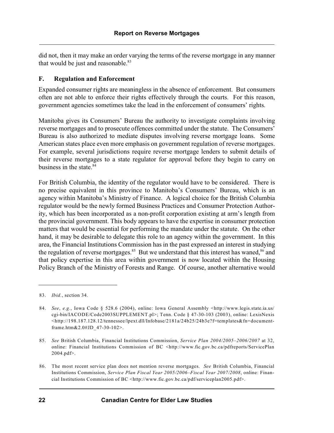did not, then it may make an order varying the terms of the reverse mortgage in any manner that would be just and reasonable.<sup>83</sup>

## **F. Regulation and Enforcement**

Expanded consumer rights are meaningless in the absence of enforcement. But consumers often are not able to enforce their rights effectively through the courts. For this reason, government agencies sometimes take the lead in the enforcement of consumers' rights.

Manitoba gives its Consumers' Bureau the authority to investigate complaints involving reverse mortgages and to prosecute offences committed under the statute. The Consumers' Bureau is also authorized to mediate disputes involving reverse mortgage loans. Some American states place even more emphasis on government regulation of reverse mortgages. For example, several jurisdictions require reverse mortgage lenders to submit details of their reverse mortgages to a state regulator for approval before they begin to carry on business in the state.<sup>84</sup>

For British Columbia, the identity of the regulator would have to be considered. There is no precise equivalent in this province to Manitoba's Consumers' Bureau, which is an agency within Manitoba's Ministry of Finance. A logical choice for the British Columbia regulator would be the newly formed Business Practices and Consumer Protection Authority, which has been incorporated as a non-profit corporation existing at arm's length from the provincial government. This body appears to have the expertise in consumer protection matters that would be essential for performing the mandate under the statute. On the other hand, it may be desirable to delegate this role to an agency within the government. In this area, the Financial Institutions Commission has in the past expressed an interest in studying the regulation of reverse mortgages.<sup>85</sup> But we understand that this interest has waned,  $86$  and that policy expertise in this area within government is now located within the Housing Policy Branch of the Ministry of Forests and Range. Of course, another alternative would

<sup>83.</sup> *Ibid.*, section 34.

<sup>84.</sup> *See*, *e.g.*, Iowa Code § 528.6 (2004), online: Iowa General Assembly <http://www.legis.state.ia.us/ cgi-bin/IACODE/Code2003SUPPLEMENT.pl>; Tenn. Code § 47-30-103 (2003), online: LexisNexis <http://198.187.128.12/tennessee/lpext.dll/Infobase/2181a/24b25/24b3e?f=templates&fn=documentframe.htm&2.0#JD\_47-30-102>.

<sup>85.</sup> *See* British Columbia, Financial Institutions Commission, *Service Plan 2004/2005–2006/2007* at 32, online: Financial Institutions Commission of BC <http://www.fic.gov.bc.ca/pdfreports/ServicePlan 2004.pdf>.

<sup>86.</sup> The most recent service plan does not mention reverse mortgages. *See* British Columbia, Financial Institutions Commission, *Service Plan Fiscal Year 2005/2006–Fiscal Year 2007/2008*, online: Financial Institutions Commission of BC <http://www.fic.gov.bc.ca/pdf/serviceplan2005.pdf>.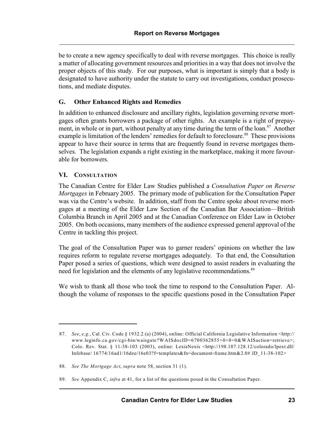be to create a new agency specifically to deal with reverse mortgages. This choice is really a matter of allocating government resources and priorities in a way that does not involve the proper objects of this study. For our purposes, what is important is simply that a body is designated to have authority under the statute to carry out investigations, conduct prosecutions, and mediate disputes.

# **G. Other Enhanced Rights and Remedies**

In addition to enhanced disclosure and ancillary rights, legislation governing reverse mortgages often grants borrowers a package of other rights. An example is a right of prepayment, in whole or in part, without penalty at any time during the term of the loan. $87$  Another example is limitation of the lenders' remedies for default to foreclosure.<sup>88</sup> These provisions appear to have their source in terms that are frequently found in reverse mortgages themselves. The legislation expands a right existing in the marketplace, making it more favourable for borrowers.

# **VI. CONSULTATION**

The Canadian Centre for Elder Law Studies published a *Consultation Paper on Reverse Mortgages* in February 2005. The primary mode of publication for the Consultation Paper was via the Centre's website. In addition, staff from the Centre spoke about reverse mortgages at a meeting of the Elder Law Section of the Canadian Bar Association—British Columbia Branch in April 2005 and at the Canadian Conference on Elder Law in October 2005. On both occasions, many members of the audience expressed general approval of the Centre in tackling this project.

The goal of the Consultation Paper was to garner readers' opinions on whether the law requires reform to regulate reverse mortgages adequately. To that end, the Consultation Paper posed a series of questions, which were designed to assist readers in evaluating the need for legislation and the elements of any legislative recommendations.<sup>89</sup>

We wish to thank all those who took the time to respond to the Consultation Paper. Although the volume of responses to the specific questions posed in the Consultation Paper

<sup>87.</sup> *See*, *e.g.*, Cal. Civ. Code § 1932.2 (a) (2004), online: Official California Legislative Information <http:// www.leginfo.ca.gov/cgi-bin/waisgate?WAISdocID=6700362855+0+0+0&WAISaction=retrieve>; Colo. Rev. Stat. § 11-38-103 (2003), online: LexisNexis <http://198.187.128.12/colorado/lpext.dll/ Infobase/ 16774/16ad1/16dee/16e03?f=templates&fn=document-frame.htm&2.0# JD\_11-38-102>

<sup>88.</sup> *See The Mortgage Act*, *supra* note 58, section 31 (1).

<sup>89.</sup> *See* Appendix C, *infra* at 41, for a list of the questions posed in the Consultation Paper.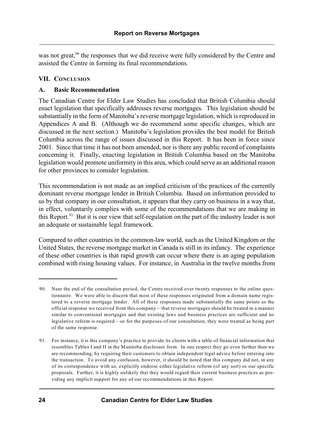was not great,<sup>90</sup> the responses that we did receive were fully considered by the Centre and assisted the Centre in forming its final recommendations.

# **VII. CONCLUSION**

# **A. Basic Recommendation**

The Canadian Centre for Elder Law Studies has concluded that British Columbia should enact legislation that specifically addresses reverse mortgages. This legislation should be substantially in the form of Manitoba's reverse mortgage legislation, which is reproduced in Appendices A and B. (Although we do recommend some specific changes, which are discussed in the next section.) Manitoba's legislation provides the best model for British Columbia across the range of issues discussed in this Report. It has been in force since 2001. Since that time it has not been amended, nor is there any public record of complaints concerning it. Finally, enacting legislation in British Columbia based on the Manitoba legislation would promote uniformity in this area, which could serve as an additional reason for other provinces to consider legislation.

This recommendation is not made as an implied criticism of the practices of the currently dominant reverse mortgage lender in British Columbia. Based on information provided to us by that company in our consultation, it appears that they carry on business in a way that, in effect, voluntarily complies with some of the recommendations that we are making in this Report.<sup>91</sup> But it is our view that self-regulation on the part of the industry leader is not an adequate or sustainable legal framework.

Compared to other countries in the common-law world, such as the United Kingdom or the United States, the reverse mortgage market in Canada is still in its infancy. The experience of these other countries is that rapid growth can occur where there is an aging population combined with rising housing values. For instance, in Australia in the twelve months from

<sup>90.</sup> Near the end of the consultation period, the Centre received over twenty responses to the online questionnaire. We were able to discern that most of these responses originated from a domain name registered to a reverse mortgage lender. All of these responses made substantially the same points as the official response we received from this company—that reverse mortgages should be treated in a manner similar to conventional mortgages and that existing laws and business practices are sufficient and no legislative reform is required—so for the purposes of our consultation, they were treated as being part of the same response.

<sup>91.</sup> For instance, it is this company's practice to provide its clients with a table of financial information that resembles Tables I and II in the Manitoba disclosure form. In one respect they go even further than we are recommending, by requiring their customers to obtain independent legal advice before entering into the transaction. To avoid any confusion, however, it should be noted that this company did not, in any of its correspondence with us, explicitly endorse either legislative reform (of any sort) or our specific proposals. Further, it is highly unlikely that they would regard their current business practices as providing any implicit support for any of our recommendations in this Report.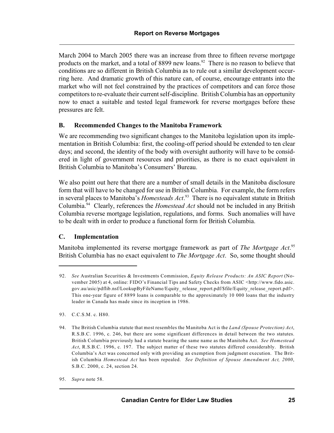March 2004 to March 2005 there was an increase from three to fifteen reverse mortgage products on the market, and a total of 8899 new loans.<sup>92</sup> There is no reason to believe that conditions are so different in British Columbia as to rule out a similar development occurring here. And dramatic growth of this nature can, of course, encourage entrants into the market who will not feel constrained by the practices of competitors and can force those competitors to re-evaluate their current self-discipline. British Columbia has an opportunity now to enact a suitable and tested legal framework for reverse mortgages before these pressures are felt.

# **B. Recommended Changes to the Manitoba Framework**

We are recommending two significant changes to the Manitoba legislation upon its implementation in British Columbia: first, the cooling-off period should be extended to ten clear days; and second, the identity of the body with oversight authority will have to be considered in light of government resources and priorities, as there is no exact equivalent in British Columbia to Manitoba's Consumers' Bureau.

We also point out here that there are a number of small details in the Manitoba disclosure form that will have to be changed for use in British Columbia. For example, the form refers in several places to Manitoba's *Homesteads Act*.<sup>93</sup> There is no equivalent statute in British Columbia.<sup>94</sup> Clearly, references the *Homestead Act* should not be included in any British Columbia reverse mortgage legislation, regulations, and forms. Such anomalies will have to be dealt with in order to produce a functional form for British Columbia.

# **C. Implementation**

Manitoba implemented its reverse mortgage framework as part of *The Mortgage Act*. 95 British Columbia has no exact equivalent to *The Mortgage Act*. So, some thought should

93. C.C.S.M. c. H80.

<sup>92.</sup> *See* Australian Securities & Investments Commission, *Equity Release Products: An ASIC Report* (November 2005) at 4, online: FIDO's Financial Tips and Safety Checks from ASIC <http://www.fido.asic. gov.au/asic/pdflib.nsf/LookupByFileName/Equity\_ release\_report.pdf/\$file/Equity\_release\_report.pdf>. This one-year figure of 8899 loans is comparable to the approximately 10 000 loans that the industry leader in Canada has made since its inception in 1986.

<sup>94.</sup> The British Columbia statute that most resembles the Manitoba Act is the *Land (Spouse Protection) Act*, R.S.B.C. 1996, c. 246, but there are some significant differences in detail between the two statutes. British Columbia previously had a statute bearing the same name as the Manitoba Act. *See Homestead Act*, R.S.B.C. 1996, c. 197. The subject matter of these two statutes differed considerably. British Columbia's Act was concerned only with providing an exemption from judgment execution. The British Columbia *Homestead Act* has been repealed. *See Definition of Spouse Amendment Act, 2000*, S.B.C. 2000, c. 24, section 24.

<sup>95.</sup> *Supra* note 58.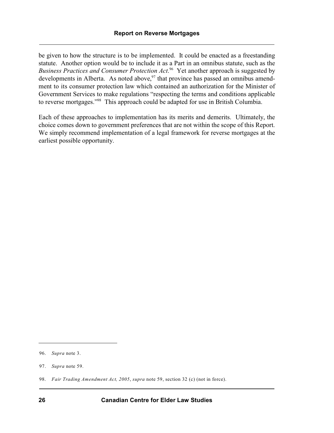be given to how the structure is to be implemented. It could be enacted as a freestanding statute. Another option would be to include it as a Part in an omnibus statute, such as the *Business Practices and Consumer Protection Act.*<sup>96</sup> Yet another approach is suggested by developments in Alberta. As noted above,  $97$  that province has passed an omnibus amendment to its consumer protection law which contained an authorization for the Minister of Government Services to make regulations "respecting the terms and conditions applicable to reverse mortgages."<sup>98</sup> This approach could be adapted for use in British Columbia.

Each of these approaches to implementation has its merits and demerits. Ultimately, the choice comes down to government preferences that are not within the scope of this Report. We simply recommend implementation of a legal framework for reverse mortgages at the earliest possible opportunity.

<sup>96.</sup> *Supra* note 3.

<sup>97.</sup> *Supra* note 59.

<sup>98.</sup> *Fair Trading Amendment Act, 2005*, *supra* note 59, section 32 (c) (not in force).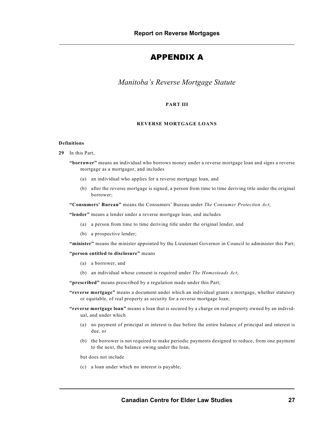# APPENDIX A

*Manitoba's Reverse Mortgage Statute*

#### **PART III**

#### **REVERSE MORTGAGE LOANS**

#### **Definitions**

**29** In this Part,

**"borrower"** means an individual who borrows money under a reverse mortgage loan and signs a reverse mortgage as a mortgagor, and includes

- (a) an individual who applies for a reverse mortgage loan, and
- (b) after the reverse mortgage is signed, a person from time to time deriving title under the original borrower;

**"Consumers' Bureau"** means the Consumers' Bureau under *The Consumer Protection Act*;

**"lender"** means a lender under a reverse mortgage loan, and includes

- (a) a person from time to time deriving title under the original lender, and
- (b) a prospective lender;

**"minister"** means the minister appointed by the Lieutenant Governor in Council to administer this Part;

#### **"person entitled to disclosure"** means

- (a) a borrower, and
- (b) an individual whose consent is required under *The Homesteads Act*;

**"prescribed"** means prescribed by a regulation made under this Part;

- **"reverse mortgage"** means a document under which an individual grants a mortgage, whether statutory or equitable, of real property as security for a reverse mortgage loan;
- **"reverse mortgage loan"** means a loan that is secured by a charge on real property owned by an individual, and under which
	- (a) no payment of principal or interest is due before the entire balance of principal and interest is due, or
	- (b) the borrower is not required to make periodic payments designed to reduce, from one payment to the next, the balance owing under the loan,

but does not include

(c) a loan under which no interest is payable,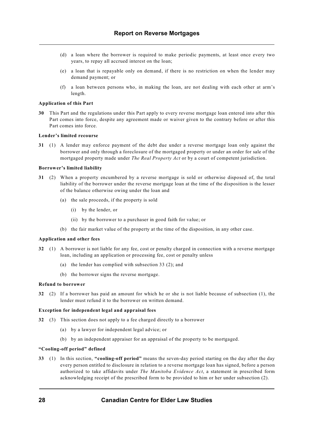- (d) a loan where the borrower is required to make periodic payments, at least once every two years, to repay all accrued interest on the loan;
- (e) a loan that is repayable only on demand, if there is no restriction on when the lender may demand payment; or
- (f) a loan between persons who, in making the loan, are not dealing with each other at arm's length.

#### **Application of this Part**

**30** This Part and the regulations under this Part apply to every reverse mortgage loan entered into after this Part comes into force, despite any agreement made or waiver given to the contrary before or after this Part comes into force.

#### **Lender's limited recourse**

**31** (1) A lender may enforce payment of the debt due under a reverse mortgage loan only against the borrower and only through a foreclosure of the mortgaged property or under an order for sale of the mortgaged property made under *The Real Property Act* or by a court of competent jurisdiction.

#### **Borrower's limited liability**

- **31** (2) When a property encumbered by a reverse mortgage is sold or otherwise disposed of, the total liability of the borrower under the reverse mortgage loan at the time of the disposition is the lesser of the balance otherwise owing under the loan and
	- (a) the sale proceeds, if the property is sold
		- (i) by the lender, or
		- (ii) by the borrower to a purchaser in good faith for value; or
	- (b) the fair market value of the property at the time of the disposition, in any other case.

#### **Application and other fees**

- **32** (1) A borrower is not liable for any fee, cost or penalty charged in connection with a reverse mortgage loan, including an application or processing fee, cost or penalty unless
	- (a) the lender has complied with subsection 33 (2); and
	- (b) the borrower signs the reverse mortgage.

#### **Refund to borrower**

**32** (2) If a borrower has paid an amount for which he or she is not liable because of subsection (1), the lender must refund it to the borrower on written demand.

#### **Exception for independent legal and appraisal fees**

- **32** (3) This section does not apply to a fee charged directly to a borrower
	- (a) by a lawyer for independent legal advice; or
	- (b) by an independent appraiser for an appraisal of the property to be mortgaged.

#### **"Cooling-off period" defined**

**33** (1) In this section, **"cooling-off period"** means the seven-day period starting on the day after the day every person entitled to disclosure in relation to a reverse mortgage loan has signed, before a person authorized to take affidavits under *The Manitoba Evidence Act*, a statement in prescribed form acknowledging receipt of the prescribed form to be provided to him or her under subsection (2).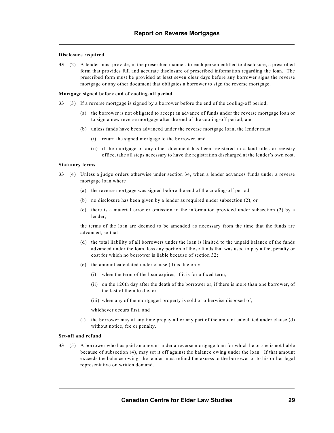#### **Disclosure required**

**33** (2) A lender must provide, in the prescribed manner, to each person entitled to disclosure, a prescribed form that provides full and accurate disclosure of prescribed information regarding the loan. The prescribed form must be provided at least seven clear days before any borrower signs the reverse mortgage or any other document that obligates a borrower to sign the reverse mortgage.

#### **Mortgage signed before end of cooling-off period**

- **33** (3) If a reverse mortgage is signed by a borrower before the end of the cooling-off period,
	- (a) the borrower is not obligated to accept an advance of funds under the reverse mortgage loan or to sign a new reverse mortgage after the end of the cooling-off period; and
	- (b) unless funds have been advanced under the reverse mortgage loan, the lender must
		- (i) return the signed mortgage to the borrower, and
		- (ii) if the mortgage or any other document has been registered in a land titles or registry office, take all steps necessary to have the registration discharged at the lender's own cost.

#### **Statutory terms**

- **33** (4) Unless a judge orders otherwise under section 34, when a lender advances funds under a reverse mortgage loan where
	- (a) the reverse mortgage was signed before the end of the cooling-off period;
	- (b) no disclosure has been given by a lender as required under subsection (2); or
	- (c) there is a material error or omission in the information provided under subsection (2) by a lender;

the terms of the loan are deemed to be amended as necessary from the time that the funds are advanced, so that

- (d) the total liability of all borrowers under the loan is limited to the unpaid balance of the funds advanced under the loan, less any portion of those funds that was used to pay a fee, penalty or cost for which no borrower is liable because of section 32;
- (e) the amount calculated under clause (d) is due only
	- (i) when the term of the loan expires, if it is for a fixed term,
	- (ii) on the 120th day after the death of the borrower or, if there is more than one borrower, of the last of them to die, or
	- (iii) when any of the mortgaged property is sold or otherwise disposed of,

whichever occurs first; and

(f) the borrower may at any time prepay all or any part of the amount calculated under clause (d) without notice, fee or penalty.

#### **Set-off and refund**

**33** (5) A borrower who has paid an amount under a reverse mortgage loan for which he or she is not liable because of subsection (4), may set it off against the balance owing under the loan. If that amount exceeds the balance owing, the lender must refund the excess to the borrower or to his or her legal representative on written demand.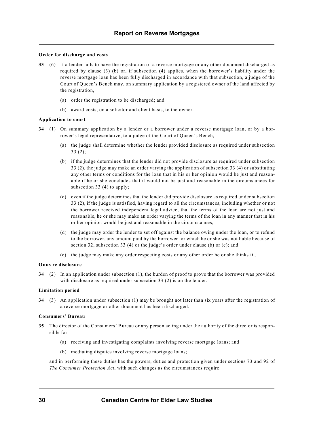#### **Order for discharge and costs**

- **33** (6) If a lender fails to have the registration of a reverse mortgage or any other document discharged as required by clause (3) (b) or, if subsection (4) applies, when the borrower's liability under the reverse mortgage loan has been fully discharged in accordance with that subsection, a judge of the Court of Queen's Bench may, on summary application by a registered owner of the land affected by the registration,
	- (a) order the registration to be discharged; and
	- (b) award costs, on a solicitor and client basis, to the owner.

#### **Application to court**

- **34** (1) On summary application by a lender or a borrower under a reverse mortgage loan, or by a borrower's legal representative, to a judge of the Court of Queen's Bench,
	- (a) the judge shall determine whether the lender provided disclosure as required under subsection 33 (2);
	- (b) if the judge determines that the lender did not provide disclosure as required under subsection 33 (2), the judge may make an order varying the application of subsection 33 (4) or substituting any other terms or conditions for the loan that in his or her opinion would be just and reasonable if he or she concludes that it would not be just and reasonable in the circumstances for subsection 33 (4) to apply;
	- (c) even if the judge determines that the lender did provide disclosure as required under subsection 33 (2), if the judge is satisfied, having regard to all the circumstances, including whether or not the borrower received independent legal advice, that the terms of the loan are not just and reasonable, he or she may make an order varying the terms of the loan in any manner that in his or her opinion would be just and reasonable in the circumstances;
	- (d) the judge may order the lender to set off against the balance owing under the loan, or to refund to the borrower, any amount paid by the borrower for which he or she was not liable because of section 32, subsection 33 (4) or the judge's order under clause (b) or (c); and
	- (e) the judge may make any order respecting costs or any other order he or she thinks fit.

#### **Onus re disclosure**

**34** (2) In an application under subsection (1), the burden of proof to prove that the borrower was provided with disclosure as required under subsection 33 (2) is on the lender.

#### **Limitation period**

**34** (3) An application under subsection (1) may be brought not later than six years after the registration of a reverse mortgage or other document has been discharged.

#### **Consumers' Bureau**

- **35** The director of the Consumers' Bureau or any person acting under the authority of the director is responsible for
	- (a) receiving and investigating complaints involving reverse mortgage loans; and
	- (b) mediating disputes involving reverse mortgage loans;

and in performing these duties has the powers, duties and protection given under sections 73 and 92 of *The Consumer Protection Act*, with such changes as the circumstances require.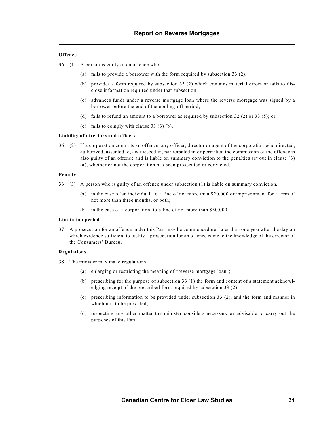#### **Offence**

**36** (1) A person is guilty of an offence who

- (a) fails to provide a borrower with the form required by subsection 33 (2);
- (b) provides a form required by subsection 33 (2) which contains material errors or fails to disclose information required under that subsection;
- (c) advances funds under a reverse mortgage loan where the reverse mortgage was signed by a borrower before the end of the cooling-off period;
- (d) fails to refund an amount to a borrower as required by subsection 32 (2) or 33 (5); or
- (e) fails to comply with clause 33 (3) (b).

#### **Liability of directors and officers**

**36** (2) If a corporation commits an offence, any officer, director or agent of the corporation who directed, authorized, assented to, acquiesced in, participated in or permitted the commission of the offence is also guilty of an offence and is liable on summary conviction to the penalties set out in clause (3) (a), whether or not the corporation has been prosecuted or convicted.

#### **Penalty**

- **36** (3) A person who is guilty of an offence under subsection (1) is liable on summary conviction,
	- (a) in the case of an individual, to a fine of not more than \$20,000 or imprisonment for a term of not more than three months, or both;
	- (b) in the case of a corporation, to a fine of not more than \$50,000.

#### **Limitation period**

**37** A prosecution for an offence under this Part may be commenced not later than one year after the day on which evidence sufficient to justify a prosecution for an offence came to the knowledge of the director of the Consumers' Bureau.

#### **Regulations**

- **38** The minister may make regulations
	- (a) enlarging or restricting the meaning of "reverse mortgage loan";
	- (b) prescribing for the purpose of subsection 33 (1) the form and content of a statement acknowledging receipt of the prescribed form required by subsection 33 (2);
	- (c) prescribing information to be provided under subsection 33 (2), and the form and manner in which it is to be provided;
	- (d) respecting any other matter the minister considers necessary or advisable to carry out the purposes of this Part.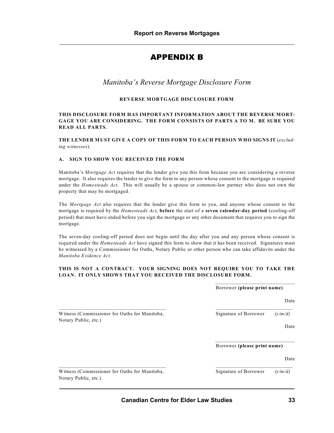# APPENDIX B

# *Manitoba's Reverse Mortgage Disclosure Form*

### **REVERSE MORTGAGE DISCLOSURE FORM**

#### **THIS DISCLOSURE FORM HAS IMPORTANT INFORMATION ABOUT THE REVERSE MORT-GAGE YOU ARE CONSIDERING. THE FORM CONSISTS OF PARTS A TO M. BE SURE YOU READ ALL PARTS.**

**THE LENDER MUST GIVE A COPY OF THIS FORM TO EACH PERSON WHO SIGNS IT** (*excluding witnesses*).

#### **A. SIGN TO SHOW YOU RECEIVED THE FORM**

Manitoba's *Mortgage Act* requires that the lender give you this form because you are considering a reverse mortgage. It also requires the lender to give the form to any person whose consent to the mortgage is required under the *Homesteads Act*. This will usually be a spouse or common-law partner who does not own the property that may be mortgaged.

The *Mortgage Act* also requires that the lender give this form to you, and anyone whose consent to the mortgage is required by the *Homesteads Act*, **before** the start of a **seven calendar-day period** (cooling-off period) that must have ended before you sign the mortgage or any other document that requires you to sign the mortgage.

The seven-day cooling-off period does not begin until the day after you and any person whose consent is required under the *Homesteads Act* have signed this form to show that it has been received. Signatures must be witnessed by a Commissioner for Oaths, Notary Public or other person who can take affidavits under the *Manitoba Evidence Act*.

#### **THIS IS NOT A CONTRACT. YOUR SIGNING DOES NOT REQUIRE YOU TO TAKE THE LOAN. IT ONLY SHOWS THAT YOU RECEIVED THE DISCLOSURE FORM.**

|                                                                       | Borrower (please print name) |         |
|-----------------------------------------------------------------------|------------------------------|---------|
|                                                                       |                              | Date    |
| Witness (Commissioner for Oaths for Manitoba,<br>Notary Public, etc.) | Signature of Borrower        | (v/m/d) |
|                                                                       |                              | Date    |
|                                                                       | Borrower (please print name) |         |
|                                                                       |                              | Date    |
| Witness (Commissioner for Oaths for Manitoba,<br>Notary Public, etc.) | Signature of Borrower        | (y/m/d) |

\_\_\_\_\_\_\_\_\_\_\_\_\_\_\_\_\_\_\_\_\_\_\_\_\_\_\_\_\_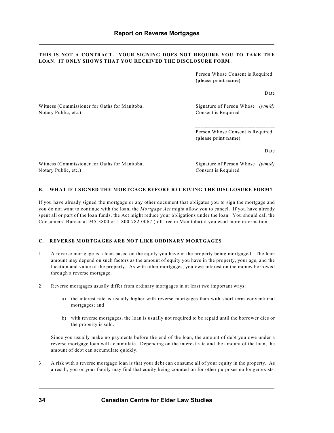#### **THIS IS NOT A CONTRACT. YOUR SIGNING DOES NOT REQUIRE YOU TO TAKE THE LOAN. IT ONLY SHOWS THAT YOU RECEIVED THE DISCLOSURE FORM.**

\_\_\_\_\_\_\_\_\_\_\_\_\_\_\_\_\_\_\_\_\_\_\_\_\_\_\_\_\_\_\_\_\_\_\_\_\_\_\_ \_\_\_\_\_\_\_\_\_\_\_\_\_\_\_\_\_\_\_\_\_\_\_\_\_\_\_\_

\_\_\_\_\_\_\_\_\_\_\_\_\_\_\_\_\_\_\_\_\_\_\_\_\_\_\_\_\_ Person Whose Consent is Required **(please print name)**

Date

Witness (Commissioner for Oaths for Manitoba, Signature of Person Whose  $(y/m/d)$ Notary Public, etc.) Consent is Required

\_\_\_\_\_\_\_\_\_\_\_\_\_\_\_\_\_\_\_\_\_\_\_\_\_\_\_\_\_ Person Whose Consent is Required **(please print name)**

Date

Witness (Commissioner for Oaths for Manitoba, Signature of Person Whose  $(y/m/d)$ Notary Public, etc.) Consent is Required

#### **B. WHAT IF I SIGNED THE MORTGAGE BEFORE RECEIVING THE DISCLOSURE FORM?**

\_\_\_\_\_\_\_\_\_\_\_\_\_\_\_\_\_\_\_\_\_\_\_\_\_\_\_\_\_\_\_\_\_\_\_\_\_\_\_ \_\_\_\_\_\_\_\_\_\_\_\_\_\_\_\_\_\_\_\_\_\_\_\_\_\_\_\_

If you have already signed the mortgage or any other document that obligates you to sign the mortgage and you do not want to continue with the loan, the *Mortgage Act* might allow you to cancel. If you have already spent all or part of the loan funds, the Act might reduce your obligations under the loan. You should call the Consumers' Bureau at 945-3800 or 1-800-782-0067 (toll free in Manitoba) if you want more information.

#### **C. REVERSE MORTGAGES ARE NOT LIKE ORDINARY MORTGAGES**

- 1. A reverse mortgage is a loan based on the equity you have in the property being mortgaged. The loan amount may depend on such factors as the amount of equity you have in the property, your age, and the location and value of the property. As with other mortgages, you owe interest on the money borrowed through a reverse mortgage.
- 2. Reverse mortgages usually differ from ordinary mortgages in at least two important ways:
	- a) the interest rate is usually higher with reverse mortgages than with short term conventional mortgages; and
	- b) with reverse mortgages, the loan is usually not required to be repaid until the borrower dies or the property is sold.

Since you usually make no payments before the end of the loan, the amount of debt you owe under a reverse mortgage loan will accumulate. Depending on the interest rate and the amount of the loan, the amount of debt can accumulate quickly.

3. A risk with a reverse mortgage loan is that your debt can consume all of your equity in the property. As a result, you or your family may find that equity being counted on for other purposes no longer exists.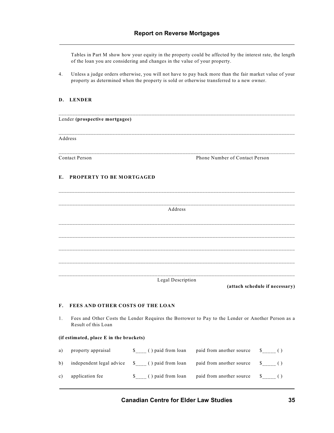Tables in Part M show how your equity in the property could be affected by the interest rate, the length of the loan you are considering and changes in the value of your property.

4. Unless a judge orders otherwise, you will not have to pay back more than the fair market value of your property as determined when the property is sold or otherwise transferred to a new owner.

#### **D. LENDER**

|                | Lender (prospective mortgagee)                                                                                           |
|----------------|--------------------------------------------------------------------------------------------------------------------------|
|                | Address                                                                                                                  |
|                | <b>Contact Person</b><br>Phone Number of Contact Person                                                                  |
| Е.             | PROPERTY TO BE MORTGAGED                                                                                                 |
|                | Address                                                                                                                  |
|                |                                                                                                                          |
|                |                                                                                                                          |
|                | Legal Description<br>(attach schedule if necessary)                                                                      |
| $\mathbf{F}$ . | FEES AND OTHER COSTS OF THE LOAN                                                                                         |
| 1.             | Fees and Other Costs the Lender Requires the Borrower to Pay to the Lender or Another Person as a<br>Result of this Loan |

#### **(if estimated, place E in the brackets)**

| a)           | property appraisal                            | \$ () paid from loan | paid from another source |                                                         |
|--------------|-----------------------------------------------|----------------------|--------------------------|---------------------------------------------------------|
| $\mathbf{b}$ | independent legal advice \$ () paid from loan |                      | paid from another source | $\sim$ $\sim$ $\sim$ $\sim$                             |
| c)           | application fee                               | () paid from loan    | paid from another source | $\begin{array}{cc} \text{S} & \text{ } \end{array}$ ( ) |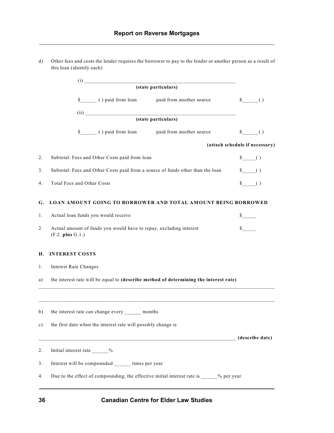d) Other fees and costs the lender requires the borrower to pay to the lender or another person as a result of

|    | this loan (identify each)                                                                                                                                                                                                                                                                                                                                                                |                          |                                |
|----|------------------------------------------------------------------------------------------------------------------------------------------------------------------------------------------------------------------------------------------------------------------------------------------------------------------------------------------------------------------------------------------|--------------------------|--------------------------------|
|    | $\begin{picture}(40,40)(-10,0) \put(0,0){\vector(1,0){100}} \put(10,0){\vector(1,0){100}} \put(10,0){\vector(1,0){100}} \put(10,0){\vector(1,0){100}} \put(10,0){\vector(1,0){100}} \put(10,0){\vector(1,0){100}} \put(10,0){\vector(1,0){100}} \put(10,0){\vector(1,0){100}} \put(10,0){\vector(1,0){100}} \put(10,0){\vector(1,0){100}} \put(10,0){\vector(1,0$<br>(state particulars) |                          |                                |
|    | \$ () paid from loan                                                                                                                                                                                                                                                                                                                                                                     | paid from another source |                                |
|    | (state particulars)                                                                                                                                                                                                                                                                                                                                                                      |                          |                                |
|    | $s$ <sub>_____</sub> () paid from loan                                                                                                                                                                                                                                                                                                                                                   | paid from another source |                                |
|    |                                                                                                                                                                                                                                                                                                                                                                                          |                          | (attach schedule if necessary) |
| 2. | Subtotal: Fees and Other Costs paid from loan                                                                                                                                                                                                                                                                                                                                            |                          | $s_{\text{---}}(x)$            |
| 3. | Subtotal: Fees and Other Costs paid from a source of funds other than the loan                                                                                                                                                                                                                                                                                                           |                          | $s_{---}( )$                   |
| 4. | Total Fees and Other Costs                                                                                                                                                                                                                                                                                                                                                               |                          | $\sqrt[3]{}$ ()                |
| G. | <b>LOAN AMOUNT GOING TO BORROWER AND TOTAL AMOUNT BEING BORROWED</b>                                                                                                                                                                                                                                                                                                                     |                          |                                |
| 1. | Actual loan funds you would receive                                                                                                                                                                                                                                                                                                                                                      |                          |                                |
| 2. | Actual amount of funds you would have to repay, excluding interest<br>(F.2. plus G.1.)                                                                                                                                                                                                                                                                                                   |                          |                                |
| Н. | <b>INTEREST COSTS</b>                                                                                                                                                                                                                                                                                                                                                                    |                          |                                |
| 1. | <b>Interest Rate Changes</b>                                                                                                                                                                                                                                                                                                                                                             |                          |                                |
| a) | the interest rate will be equal to (describe method of determining the interest rate)                                                                                                                                                                                                                                                                                                    |                          |                                |
| b) | the interest rate can change every months                                                                                                                                                                                                                                                                                                                                                |                          |                                |
| c) | the first date when the interest rate will possibly change is                                                                                                                                                                                                                                                                                                                            |                          |                                |
|    |                                                                                                                                                                                                                                                                                                                                                                                          |                          | (describe date)                |
| 2. | Initial interest rate ______%                                                                                                                                                                                                                                                                                                                                                            |                          |                                |
| 3. | Interest will be compounded ______ times per year                                                                                                                                                                                                                                                                                                                                        |                          |                                |
| 4. | Due to the effect of compounding, the effective initial interest rate is _____% per year                                                                                                                                                                                                                                                                                                 |                          |                                |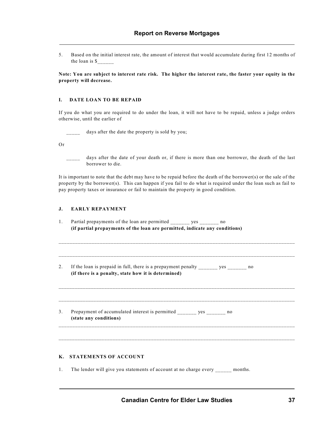5. Based on the initial interest rate, the amount of interest that would accumulate during first 12 months of the loan is \$\_\_\_\_\_\_

**Note: You are subject to interest rate risk. The higher the interest rate, the faster your equity in the property will decrease.**

#### **I. DATE LOAN TO BE REPAID**

If you do what you are required to do under the loan, it will not have to be repaid, unless a judge orders otherwise, until the earlier of

days after the date the property is sold by you;

Or

days after the date of your death or, if there is more than one borrower, the death of the last borrower to die.

It is important to note that the debt may have to be repaid before the death of the borrower(s) or the sale of the property by the borrower(s). This can happen if you fail to do what is required under the loan such as fail to pay property taxes or insurance or fail to maintain the property in good condition.

\_\_\_\_\_\_\_\_\_\_\_\_\_\_\_\_\_\_\_\_\_\_\_\_\_\_\_\_\_\_\_\_\_\_\_\_\_\_\_\_\_\_\_\_\_\_\_\_\_\_\_\_\_\_\_\_\_\_\_\_\_\_\_\_\_\_\_\_\_\_\_\_\_\_\_\_\_\_\_\_\_\_\_\_\_\_

\_\_\_\_\_\_\_\_\_\_\_\_\_\_\_\_\_\_\_\_\_\_\_\_\_\_\_\_\_\_\_\_\_\_\_\_\_\_\_\_\_\_\_\_\_\_\_\_\_\_\_\_\_\_\_\_\_\_\_\_\_\_\_\_\_\_\_\_\_\_\_\_\_\_\_\_\_\_\_\_\_\_\_\_\_\_

\_\_\_\_\_\_\_\_\_\_\_\_\_\_\_\_\_\_\_\_\_\_\_\_\_\_\_\_\_\_\_\_\_\_\_\_\_\_\_\_\_\_\_\_\_\_\_\_\_\_\_\_\_\_\_\_\_\_\_\_\_\_\_\_\_\_\_\_\_\_\_\_\_\_\_\_\_\_\_\_\_\_\_\_\_\_\_

\_\_\_\_\_\_\_\_\_\_\_\_\_\_\_\_\_\_\_\_\_\_\_\_\_\_\_\_\_\_\_\_\_\_\_\_\_\_\_\_\_\_\_\_\_\_\_\_\_\_\_\_\_\_\_\_\_\_\_\_\_\_\_\_\_\_\_\_\_\_\_\_\_\_\_\_\_\_\_\_\_\_\_\_\_\_\_

#### **J. EARLY REPAYMENT**

- 1. Partial prepayments of the loan are permitted \_\_\_\_\_\_\_ yes \_\_\_\_\_\_\_ no **(if partial prepayments of the loan are permitted, indicate any conditions)**
- 2. If the loan is prepaid in full, there is a prepayment penalty \_\_\_\_\_\_\_\_ yes \_\_\_\_\_\_\_\_ no **(if there is a penalty, state how it is determined)**

3. Prepayment of accumulated interest is permitted \_\_\_\_\_\_\_ yes \_\_\_\_\_\_\_ no **(state any conditions)**

#### **K. STATEMENTS OF ACCOUNT**

1. The lender will give you statements of account at no charge every \_\_\_\_\_\_ months.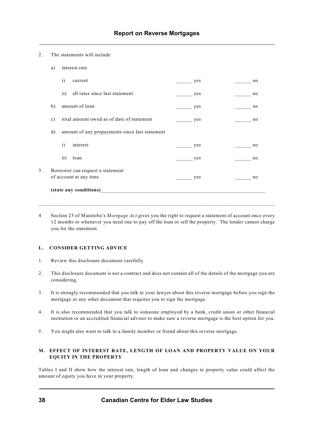#### 2. The statements will include

|    | a)            | interest rate                                              |     |                |
|----|---------------|------------------------------------------------------------|-----|----------------|
|    |               | $\mathbf{i}$<br>current                                    | yes | no             |
|    |               | all rates since last statement<br>$\overline{11}$          | yes | no             |
|    | b)            | amount of loan                                             | yes | no             |
|    | $\mathbf{c})$ | total amount owed as of date of statement                  | yes | no             |
|    | d)            | amount of any prepayments since last statement             |     |                |
|    |               | $\mathbf{i}$<br>interest                                   | yes | no             |
|    |               | loan<br>$\rm ii)$                                          | yes | n <sub>0</sub> |
| 3. |               | Borrower can request a statement<br>of account at any time | yes | n <sub>0</sub> |
|    |               |                                                            |     |                |
|    |               |                                                            |     |                |

4 Section 25 of Manitoba's *Mortgage Act* gives you the right to request a statement of account once every 12 months or whenever you need one to pay off the loan or sell the property. The lender cannot charge you for the statement.

#### **L. CONSIDER GETTING ADVICE**

- 1. Review this disclosure document carefully.
- 2. This disclosure document is not a contract and does not contain all of the details of the mortgage you are considering.
- 3. It is strongly recommended that you talk to your lawyer about this reverse mortgage before you sign the mortgage or any other document that requires you to sign the mortgage.
- 4. It is also recommended that you talk to someone employed by a bank, credit union or other financial institution or an accredited financial advisor to make sure a reverse mortgage is the best option for you.
- 5. You might also want to talk to a family member or friend about this reverse mortgage.

#### **M. EFFECT OF INTEREST RATE, LENGTH OF LOAN AND PROPERTY VALUE ON YOUR EQUITY IN THE PROPERTY**

Tables I and II show how the interest rate, length of loan and changes in property value could affect the amount of equity you have in your property.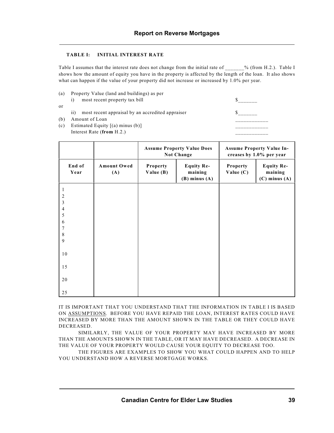#### **TABLE I: INITIAL INTEREST RATE**

Table I assumes that the interest rate does not change from the initial rate of  $\%$  (from H.2.). Table I shows how the amount of equity you have in the property is affected by the length of the loan. It also shows what can happen if the value of your property did not increase or increased by 1.0% per year.

| (a) | Property Value (land and buildings) as per                          |  |
|-----|---------------------------------------------------------------------|--|
|     | most recent property tax bill                                       |  |
| or  |                                                                     |  |
|     | most recent appraisal by an accredited appraiser<br>$\overline{11}$ |  |
| (b) | Amount of Loan                                                      |  |
| (c) | Estimated Equity $[(a)$ minus $(b)]$                                |  |
|     | Interest Rate $(from H.2.)$                                         |  |
|     |                                                                     |  |

|                |                           | <b>Assume Property Value Does</b><br>Not Change |                                                   |                         | <b>Assume Property Value In-</b><br>creases by 1.0% per year |
|----------------|---------------------------|-------------------------------------------------|---------------------------------------------------|-------------------------|--------------------------------------------------------------|
| End of<br>Year | <b>Amount Owed</b><br>(A) | Property<br>Value (B)                           | <b>Equity Re-</b><br>maining<br>$(B)$ minus $(A)$ | Property<br>Value $(C)$ | <b>Equity Re-</b><br>maining<br>$(C)$ minus $(A)$            |
| 2              |                           |                                                 |                                                   |                         |                                                              |
| 3              |                           |                                                 |                                                   |                         |                                                              |
| $\overline{4}$ |                           |                                                 |                                                   |                         |                                                              |
| 5              |                           |                                                 |                                                   |                         |                                                              |
| 6              |                           |                                                 |                                                   |                         |                                                              |
| 7              |                           |                                                 |                                                   |                         |                                                              |
| 8<br>9         |                           |                                                 |                                                   |                         |                                                              |
|                |                           |                                                 |                                                   |                         |                                                              |
| 10             |                           |                                                 |                                                   |                         |                                                              |
| 15             |                           |                                                 |                                                   |                         |                                                              |
| 20             |                           |                                                 |                                                   |                         |                                                              |
| 25             |                           |                                                 |                                                   |                         |                                                              |

IT IS IMPORTANT THAT YOU UNDERSTAND THAT THE INFORMATION IN TABLE I IS BASED ON ASSUMPTIONS. BEFORE YOU HAVE REPAID THE LOAN, INTEREST RATES COULD HAVE INCREASED BY MORE THAN THE AMOUNT SHOWN IN THE TABLE OR THEY COULD HAVE DECREASED.

SIMILARLY, THE VALUE OF YOUR PROPERTY MAY HAVE INCREASED BY MORE THAN THE AMOUNTS SHOWN IN THE TABLE, OR IT MAY HAVE DECREASED. A DECREASE IN THE VALUE OF YOUR PROPERTY WOULD CAUSE YOUR EQUITY TO DECREASE TOO.

THE FIGURES ARE EXAMPLES TO SHOW YOU WHAT COULD HAPPEN AND TO HELP YOU UNDERSTAND HOW A REVERSE MORTGAGE WORKS.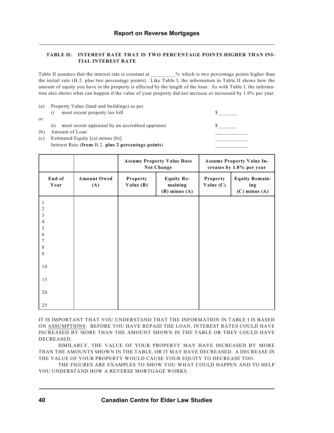#### **TABLE II: INTEREST RATE THAT IS TWO PERCENTAGE POINTS HIGHER THAN INI-TIAL INTEREST RATE**

Table II assumes that the interest rate is constant at  $\%$  which is two percentage points higher than the initial rate (H.2. plus two percentage points). Like Table I, the information in Table II shows how the amount of equity you have in the property is affected by the length of the loan. As with Table I, the information also shows what can happen if the value of your property did not increase or increased by 1.0% per year.

| (a) | Property Value (land and buildings) as per              |  |
|-----|---------------------------------------------------------|--|
|     | most recent property tax bill                           |  |
| 0r  |                                                         |  |
|     | most recent appraisal by an accredited appraiser<br>11) |  |
| (b) | Amount of Loan                                          |  |
| (c) | Estimated Equity $[(a)$ minus $(b)]$                    |  |
|     | Interest Rate (from H.2. plus 2 percentage points)      |  |
|     |                                                         |  |
|     |                                                         |  |

|                     |                           | <b>Assume Property Value Does</b><br><b>Not Change</b> |                                                   |                         | <b>Assume Property Value In-</b><br>creases by 1.0% per year |
|---------------------|---------------------------|--------------------------------------------------------|---------------------------------------------------|-------------------------|--------------------------------------------------------------|
| End of<br>Year      | <b>Amount Owed</b><br>(A) | Property<br>Value $(B)$                                | <b>Equity Re-</b><br>maining<br>$(B)$ minus $(A)$ | Property<br>Value $(C)$ | <b>Equity Remain-</b><br>ing<br>$(C)$ minus $(A)$            |
| 1<br>$\overline{2}$ |                           |                                                        |                                                   |                         |                                                              |
| 3<br>4              |                           |                                                        |                                                   |                         |                                                              |
| 5<br>6              |                           |                                                        |                                                   |                         |                                                              |
| 7<br>8              |                           |                                                        |                                                   |                         |                                                              |
| 9                   |                           |                                                        |                                                   |                         |                                                              |
| 10                  |                           |                                                        |                                                   |                         |                                                              |
| 15                  |                           |                                                        |                                                   |                         |                                                              |
| 20                  |                           |                                                        |                                                   |                         |                                                              |
| 25                  |                           |                                                        |                                                   |                         |                                                              |

IT IS IMPORTANT THAT YOU UNDERSTAND THAT THE INFORMATION IN TABLE I IS BASED ON ASSUMPTIONS. BEFORE YOU HAVE REPAID THE LOAN, INTEREST RATES COULD HAVE INCREASED BY MORE THAN THE AMOUNT SHOWN IN THE TABLE OR THEY COULD HAVE DECREASED.

SIMILARLY, THE VALUE OF YOUR PROPERTY MAY HAVE INCREASED BY MORE THAN THE AMOUNTS SHOWN IN THE TABLE, OR IT MAY HAVE DECREASED. A DECREASE IN THE VALUE OF YOUR PROPERTY WOULD CAUSE YOUR EQUITY TO DECREASE TOO.

THE FIGURES ARE EXAMPLES TO SHOW YOU WHAT COULD HAPPEN AND TO HELP YOU UNDERSTAND HOW A REVERSE MORTGAGE WORKS.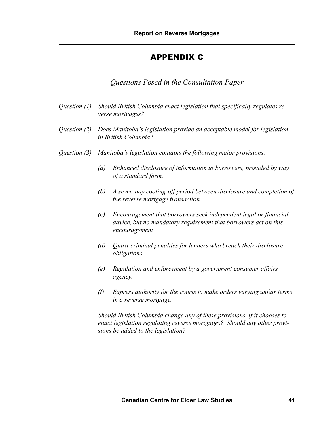# APPENDIX C

*Questions Posed in the Consultation Paper*

- *Question (1) Should British Columbia enact legislation that specifically regulates reverse mortgages?*
- *Question (2) Does Manitoba's legislation provide an acceptable model for legislation in British Columbia?*
- *Question (3) Manitoba's legislation contains the following major provisions:*
	- *(a) Enhanced disclosure of information to borrowers, provided by way of a standard form.*
	- *(b) A seven-day cooling-off period between disclosure and completion of the reverse mortgage transaction.*
	- *(c) Encouragement that borrowers seek independent legal or financial advice, but no mandatory requirement that borrowers act on this encouragement.*
	- *(d) Quasi-criminal penalties for lenders who breach their disclosure obligations.*
	- *(e) Regulation and enforcement by a government consumer affairs agency.*
	- *(f) Express authority for the courts to make orders varying unfair terms in a reverse mortgage.*

*Should British Columbia change any of these provisions, if it chooses to enact legislation regulating reverse mortgages? Should any other provisions be added to the legislation?*